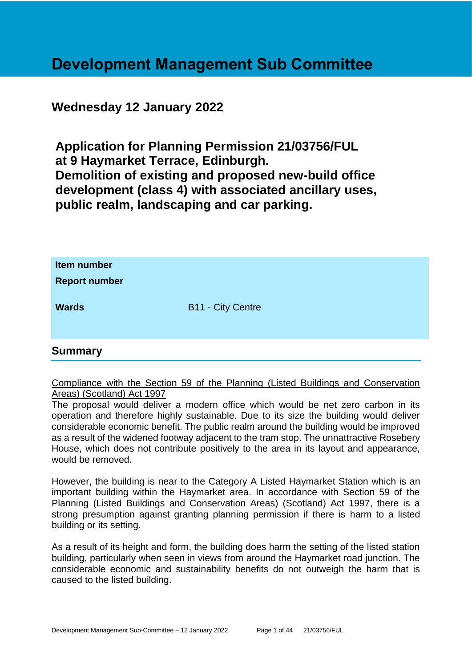## **Development Management Sub Committee**

## **Wednesday 12 January 2022**

**Application for Planning Permission 21/03756/FUL at 9 Haymarket Terrace, Edinburgh. Demolition of existing and proposed new-build office development (class 4) with associated ancillary uses, public realm, landscaping and car parking.**

| Item number<br><b>Report number</b> |                          |
|-------------------------------------|--------------------------|
| <b>Wards</b>                        | <b>B11 - City Centre</b> |

## **Summary**

Compliance with the Section 59 of the Planning (Listed Buildings and Conservation Areas) (Scotland) Act 1997

The proposal would deliver a modern office which would be net zero carbon in its operation and therefore highly sustainable. Due to its size the building would deliver considerable economic benefit. The public realm around the building would be improved as a result of the widened footway adjacent to the tram stop. The unnattractive Rosebery House, which does not contribute positively to the area in its layout and appearance, would be removed.

However, the building is near to the Category A Listed Haymarket Station which is an important building within the Haymarket area. In accordance with Section 59 of the Planning (Listed Buildings and Conservation Areas) (Scotland) Act 1997, there is a strong presumption against granting planning permission if there is harm to a listed building or its setting.

As a result of its height and form, the building does harm the setting of the listed station building, particularly when seen in views from around the Haymarket road junction. The considerable economic and sustainability benefits do not outweigh the harm that is caused to the listed building.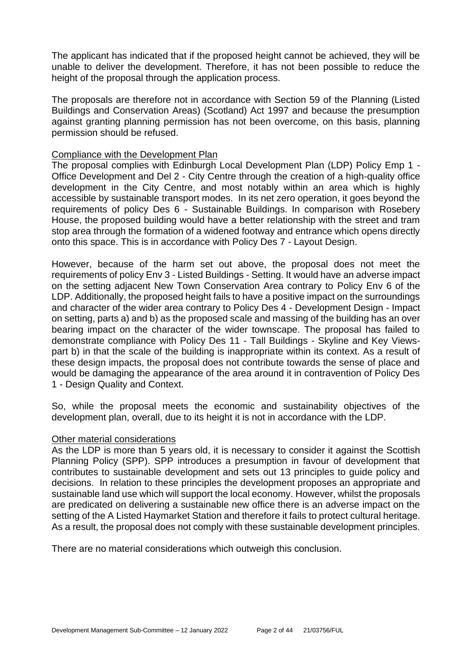The applicant has indicated that if the proposed height cannot be achieved, they will be unable to deliver the development. Therefore, it has not been possible to reduce the height of the proposal through the application process.

The proposals are therefore not in accordance with Section 59 of the Planning (Listed Buildings and Conservation Areas) (Scotland) Act 1997 and because the presumption against granting planning permission has not been overcome, on this basis, planning permission should be refused.

#### Compliance with the Development Plan

The proposal complies with Edinburgh Local Development Plan (LDP) Policy Emp 1 - Office Development and Del 2 - City Centre through the creation of a high-quality office development in the City Centre, and most notably within an area which is highly accessible by sustainable transport modes. In its net zero operation, it goes beyond the requirements of policy Des 6 - Sustainable Buildings. In comparison with Rosebery House, the proposed building would have a better relationship with the street and tram stop area through the formation of a widened footway and entrance which opens directly onto this space. This is in accordance with Policy Des 7 - Layout Design.

However, because of the harm set out above, the proposal does not meet the requirements of policy Env 3 - Listed Buildings - Setting. It would have an adverse impact on the setting adjacent New Town Conservation Area contrary to Policy Env 6 of the LDP. Additionally, the proposed height fails to have a positive impact on the surroundings and character of the wider area contrary to Policy Des 4 - Development Design - Impact on setting, parts a) and b) as the proposed scale and massing of the building has an over bearing impact on the character of the wider townscape. The proposal has failed to demonstrate compliance with Policy Des 11 - Tall Buildings - Skyline and Key Viewspart b) in that the scale of the building is inappropriate within its context. As a result of these design impacts, the proposal does not contribute towards the sense of place and would be damaging the appearance of the area around it in contravention of Policy Des 1 - Design Quality and Context.

So, while the proposal meets the economic and sustainability objectives of the development plan, overall, due to its height it is not in accordance with the LDP.

#### Other material considerations

As the LDP is more than 5 years old, it is necessary to consider it against the Scottish Planning Policy (SPP). SPP introduces a presumption in favour of development that contributes to sustainable development and sets out 13 principles to guide policy and decisions. In relation to these principles the development proposes an appropriate and sustainable land use which will support the local economy. However, whilst the proposals are predicated on delivering a sustainable new office there is an adverse impact on the setting of the A Listed Haymarket Station and therefore it fails to protect cultural heritage. As a result, the proposal does not comply with these sustainable development principles.

There are no material considerations which outweigh this conclusion.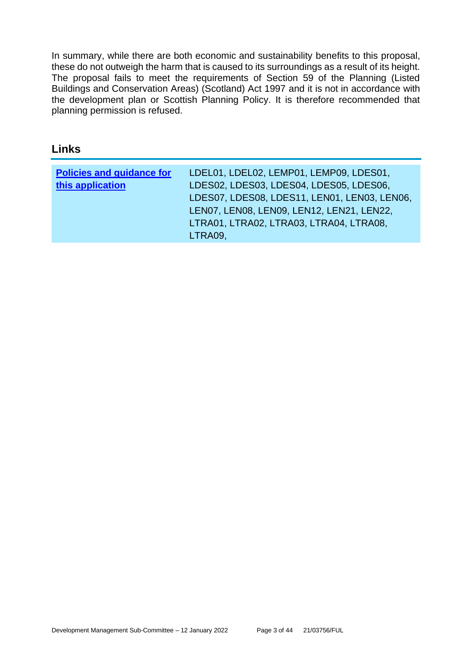In summary, while there are both economic and sustainability benefits to this proposal, these do not outweigh the harm that is caused to its surroundings as a result of its height. The proposal fails to meet the requirements of Section 59 of the Planning (Listed Buildings and Conservation Areas) (Scotland) Act 1997 and it is not in accordance with the development plan or Scottish Planning Policy. It is therefore recommended that planning permission is refused.

## **Links**

| <b>Policies and guidance for</b> | LDEL01, LDEL02, LEMP01, LEMP09, LDES01,      |
|----------------------------------|----------------------------------------------|
| this application                 | LDES02, LDES03, LDES04, LDES05, LDES06,      |
|                                  | LDES07, LDES08, LDES11, LEN01, LEN03, LEN06, |
|                                  | LEN07, LEN08, LEN09, LEN12, LEN21, LEN22,    |
|                                  | LTRA01, LTRA02, LTRA03, LTRA04, LTRA08,      |
|                                  | LTRA09,                                      |
|                                  |                                              |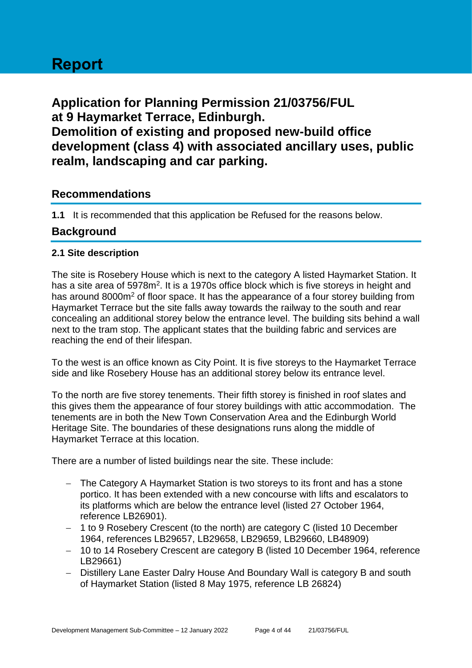# **Report**

**Application for Planning Permission 21/03756/FUL at 9 Haymarket Terrace, Edinburgh. Demolition of existing and proposed new-build office development (class 4) with associated ancillary uses, public realm, landscaping and car parking.**

## **Recommendations**

**1.1** It is recommended that this application be Refused for the reasons below.

## **Background**

#### **2.1 Site description**

The site is Rosebery House which is next to the category A listed Haymarket Station. It has a site area of 5978m<sup>2</sup>. It is a 1970s office block which is five storeys in height and has around 8000m<sup>2</sup> of floor space. It has the appearance of a four storey building from Haymarket Terrace but the site falls away towards the railway to the south and rear concealing an additional storey below the entrance level. The building sits behind a wall next to the tram stop. The applicant states that the building fabric and services are reaching the end of their lifespan.

To the west is an office known as City Point. It is five storeys to the Haymarket Terrace side and like Rosebery House has an additional storey below its entrance level.

To the north are five storey tenements. Their fifth storey is finished in roof slates and this gives them the appearance of four storey buildings with attic accommodation. The tenements are in both the New Town Conservation Area and the Edinburgh World Heritage Site. The boundaries of these designations runs along the middle of Haymarket Terrace at this location.

There are a number of listed buildings near the site. These include:

- − The Category A Haymarket Station is two storeys to its front and has a stone portico. It has been extended with a new concourse with lifts and escalators to its platforms which are below the entrance level (listed 27 October 1964, reference LB26901).
- − 1 to 9 Rosebery Crescent (to the north) are category C (listed 10 December 1964, references LB29657, LB29658, LB29659, LB29660, LB48909)
- − 10 to 14 Rosebery Crescent are category B (listed 10 December 1964, reference LB29661)
- − Distillery Lane Easter Dalry House And Boundary Wall is category B and south of Haymarket Station (listed 8 May 1975, reference LB 26824)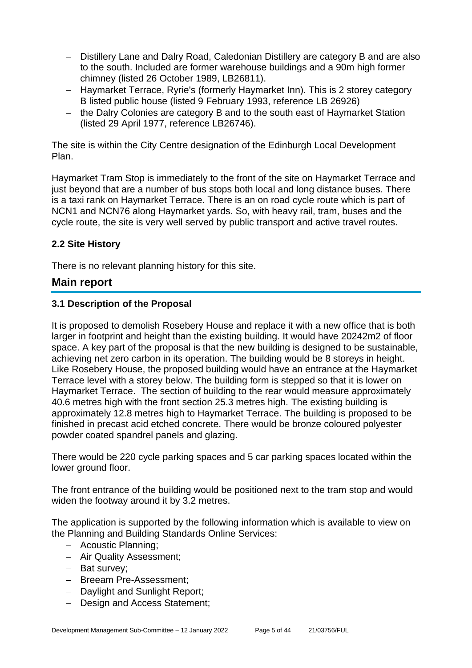- − Distillery Lane and Dalry Road, Caledonian Distillery are category B and are also to the south. Included are former warehouse buildings and a 90m high former chimney (listed 26 October 1989, LB26811).
- − Haymarket Terrace, Ryrie's (formerly Haymarket Inn). This is 2 storey category B listed public house (listed 9 February 1993, reference LB 26926)
- − the Dalry Colonies are category B and to the south east of Haymarket Station (listed 29 April 1977, reference LB26746).

The site is within the City Centre designation of the Edinburgh Local Development Plan.

Haymarket Tram Stop is immediately to the front of the site on Haymarket Terrace and just beyond that are a number of bus stops both local and long distance buses. There is a taxi rank on Haymarket Terrace. There is an on road cycle route which is part of NCN1 and NCN76 along Haymarket yards. So, with heavy rail, tram, buses and the cycle route, the site is very well served by public transport and active travel routes.

## **2.2 Site History**

There is no relevant planning history for this site.

## **Main report**

#### **3.1 Description of the Proposal**

It is proposed to demolish Rosebery House and replace it with a new office that is both larger in footprint and height than the existing building. It would have 20242m2 of floor space. A key part of the proposal is that the new building is designed to be sustainable, achieving net zero carbon in its operation. The building would be 8 storeys in height. Like Rosebery House, the proposed building would have an entrance at the Haymarket Terrace level with a storey below. The building form is stepped so that it is lower on Haymarket Terrace. The section of building to the rear would measure approximately 40.6 metres high with the front section 25.3 metres high. The existing building is approximately 12.8 metres high to Haymarket Terrace. The building is proposed to be finished in precast acid etched concrete. There would be bronze coloured polyester powder coated spandrel panels and glazing.

There would be 220 cycle parking spaces and 5 car parking spaces located within the lower ground floor.

The front entrance of the building would be positioned next to the tram stop and would widen the footway around it by 3.2 metres.

The application is supported by the following information which is available to view on the Planning and Building Standards Online Services:

- − Acoustic Planning;
- − Air Quality Assessment;
- − Bat survey;
- − Breeam Pre-Assessment;
- − Daylight and Sunlight Report;
- − Design and Access Statement;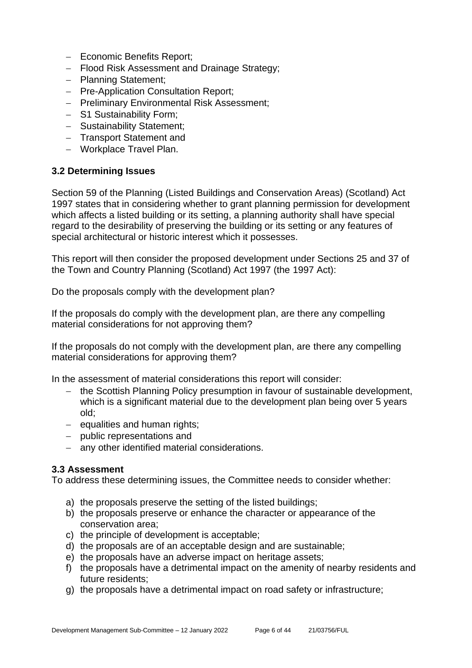- − Economic Benefits Report;
- − Flood Risk Assessment and Drainage Strategy;
- − Planning Statement;
- − Pre-Application Consultation Report;
- − Preliminary Environmental Risk Assessment;
- − S1 Sustainability Form;
- − Sustainability Statement;
- − Transport Statement and
- − Workplace Travel Plan.

#### **3.2 Determining Issues**

Section 59 of the Planning (Listed Buildings and Conservation Areas) (Scotland) Act 1997 states that in considering whether to grant planning permission for development which affects a listed building or its setting, a planning authority shall have special regard to the desirability of preserving the building or its setting or any features of special architectural or historic interest which it possesses.

This report will then consider the proposed development under Sections 25 and 37 of the Town and Country Planning (Scotland) Act 1997 (the 1997 Act):

Do the proposals comply with the development plan?

If the proposals do comply with the development plan, are there any compelling material considerations for not approving them?

If the proposals do not comply with the development plan, are there any compelling material considerations for approving them?

In the assessment of material considerations this report will consider:

- − the Scottish Planning Policy presumption in favour of sustainable development, which is a significant material due to the development plan being over 5 years old;
- − equalities and human rights;
- − public representations and
- − any other identified material considerations.

#### **3.3 Assessment**

To address these determining issues, the Committee needs to consider whether:

- a) the proposals preserve the setting of the listed buildings;
- b) the proposals preserve or enhance the character or appearance of the conservation area;
- c) the principle of development is acceptable;
- d) the proposals are of an acceptable design and are sustainable;
- e) the proposals have an adverse impact on heritage assets;
- f) the proposals have a detrimental impact on the amenity of nearby residents and future residents;
- g) the proposals have a detrimental impact on road safety or infrastructure;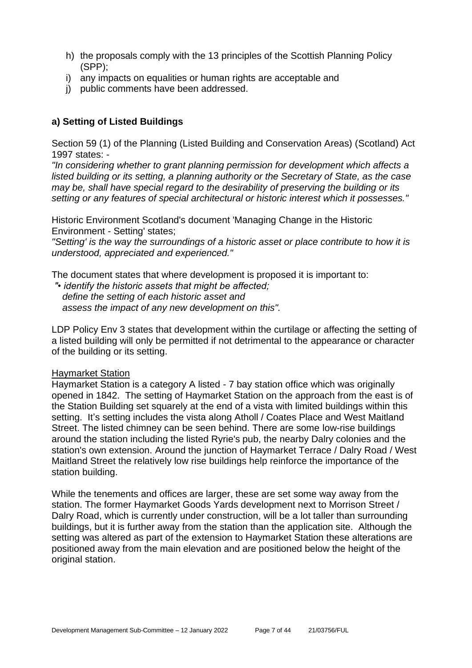- h) the proposals comply with the 13 principles of the Scottish Planning Policy (SPP);
- i) any impacts on equalities or human rights are acceptable and
- j) public comments have been addressed.

## **a) Setting of Listed Buildings**

Section 59 (1) of the Planning (Listed Building and Conservation Areas) (Scotland) Act 1997 states: -

*"In considering whether to grant planning permission for development which affects a listed building or its setting, a planning authority or the Secretary of State, as the case may be, shall have special regard to the desirability of preserving the building or its setting or any features of special architectural or historic interest which it possesses."*

Historic Environment Scotland's document 'Managing Change in the Historic Environment - Setting' states;

*"Setting' is the way the surroundings of a historic asset or place contribute to how it is understood, appreciated and experienced."*

The document states that where development is proposed it is important to:

*"• identify the historic assets that might be affected; define the setting of each historic asset and assess the impact of any new development on this".*

LDP Policy Env 3 states that development within the curtilage or affecting the setting of a listed building will only be permitted if not detrimental to the appearance or character of the building or its setting.

#### Haymarket Station

Haymarket Station is a category A listed - 7 bay station office which was originally opened in 1842. The setting of Haymarket Station on the approach from the east is of the Station Building set squarely at the end of a vista with limited buildings within this setting. It's setting includes the vista along Atholl / Coates Place and West Maitland Street. The listed chimney can be seen behind. There are some low-rise buildings around the station including the listed Ryrie's pub, the nearby Dalry colonies and the station's own extension. Around the junction of Haymarket Terrace / Dalry Road / West Maitland Street the relatively low rise buildings help reinforce the importance of the station building.

While the tenements and offices are larger, these are set some way away from the station. The former Haymarket Goods Yards development next to Morrison Street / Dalry Road, which is currently under construction, will be a lot taller than surrounding buildings, but it is further away from the station than the application site. Although the setting was altered as part of the extension to Haymarket Station these alterations are positioned away from the main elevation and are positioned below the height of the original station.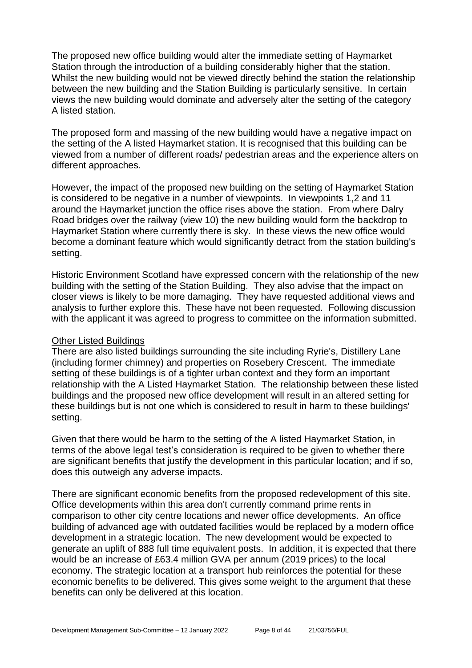The proposed new office building would alter the immediate setting of Haymarket Station through the introduction of a building considerably higher that the station. Whilst the new building would not be viewed directly behind the station the relationship between the new building and the Station Building is particularly sensitive. In certain views the new building would dominate and adversely alter the setting of the category A listed station.

The proposed form and massing of the new building would have a negative impact on the setting of the A listed Haymarket station. It is recognised that this building can be viewed from a number of different roads/ pedestrian areas and the experience alters on different approaches.

However, the impact of the proposed new building on the setting of Haymarket Station is considered to be negative in a number of viewpoints. In viewpoints 1,2 and 11 around the Haymarket junction the office rises above the station. From where Dalry Road bridges over the railway (view 10) the new building would form the backdrop to Haymarket Station where currently there is sky. In these views the new office would become a dominant feature which would significantly detract from the station building's setting.

Historic Environment Scotland have expressed concern with the relationship of the new building with the setting of the Station Building. They also advise that the impact on closer views is likely to be more damaging. They have requested additional views and analysis to further explore this. These have not been requested. Following discussion with the applicant it was agreed to progress to committee on the information submitted.

#### Other Listed Buildings

There are also listed buildings surrounding the site including Ryrie's, Distillery Lane (including former chimney) and properties on Rosebery Crescent. The immediate setting of these buildings is of a tighter urban context and they form an important relationship with the A Listed Haymarket Station. The relationship between these listed buildings and the proposed new office development will result in an altered setting for these buildings but is not one which is considered to result in harm to these buildings' setting.

Given that there would be harm to the setting of the A listed Haymarket Station, in terms of the above legal test's consideration is required to be given to whether there are significant benefits that justify the development in this particular location; and if so, does this outweigh any adverse impacts.

There are significant economic benefits from the proposed redevelopment of this site. Office developments within this area don't currently command prime rents in comparison to other city centre locations and newer office developments. An office building of advanced age with outdated facilities would be replaced by a modern office development in a strategic location. The new development would be expected to generate an uplift of 888 full time equivalent posts. In addition, it is expected that there would be an increase of £63.4 million GVA per annum (2019 prices) to the local economy. The strategic location at a transport hub reinforces the potential for these economic benefits to be delivered. This gives some weight to the argument that these benefits can only be delivered at this location.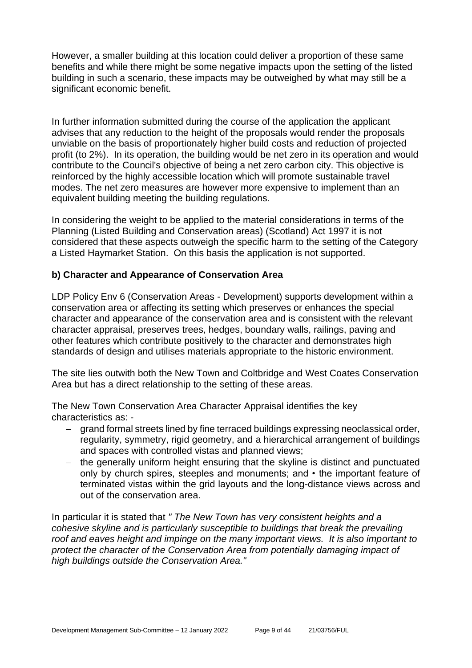However, a smaller building at this location could deliver a proportion of these same benefits and while there might be some negative impacts upon the setting of the listed building in such a scenario, these impacts may be outweighed by what may still be a significant economic benefit.

In further information submitted during the course of the application the applicant advises that any reduction to the height of the proposals would render the proposals unviable on the basis of proportionately higher build costs and reduction of projected profit (to 2%). In its operation, the building would be net zero in its operation and would contribute to the Council's objective of being a net zero carbon city. This objective is reinforced by the highly accessible location which will promote sustainable travel modes. The net zero measures are however more expensive to implement than an equivalent building meeting the building regulations.

In considering the weight to be applied to the material considerations in terms of the Planning (Listed Building and Conservation areas) (Scotland) Act 1997 it is not considered that these aspects outweigh the specific harm to the setting of the Category a Listed Haymarket Station. On this basis the application is not supported.

## **b) Character and Appearance of Conservation Area**

LDP Policy Env 6 (Conservation Areas - Development) supports development within a conservation area or affecting its setting which preserves or enhances the special character and appearance of the conservation area and is consistent with the relevant character appraisal, preserves trees, hedges, boundary walls, railings, paving and other features which contribute positively to the character and demonstrates high standards of design and utilises materials appropriate to the historic environment.

The site lies outwith both the New Town and Coltbridge and West Coates Conservation Area but has a direct relationship to the setting of these areas.

The New Town Conservation Area Character Appraisal identifies the key characteristics as: -

- − grand formal streets lined by fine terraced buildings expressing neoclassical order, regularity, symmetry, rigid geometry, and a hierarchical arrangement of buildings and spaces with controlled vistas and planned views;
- − the generally uniform height ensuring that the skyline is distinct and punctuated only by church spires, steeples and monuments; and • the important feature of terminated vistas within the grid layouts and the long-distance views across and out of the conservation area.

In particular it is stated that *" The New Town has very consistent heights and a cohesive skyline and is particularly susceptible to buildings that break the prevailing roof and eaves height and impinge on the many important views. It is also important to protect the character of the Conservation Area from potentially damaging impact of high buildings outside the Conservation Area."*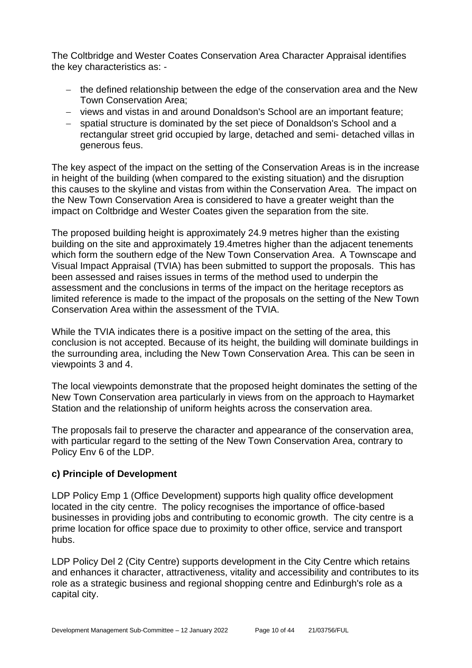The Coltbridge and Wester Coates Conservation Area Character Appraisal identifies the key characteristics as: -

- − the defined relationship between the edge of the conservation area and the New Town Conservation Area;
- − views and vistas in and around Donaldson's School are an important feature;
- − spatial structure is dominated by the set piece of Donaldson's School and a rectangular street grid occupied by large, detached and semi- detached villas in generous feus.

The key aspect of the impact on the setting of the Conservation Areas is in the increase in height of the building (when compared to the existing situation) and the disruption this causes to the skyline and vistas from within the Conservation Area. The impact on the New Town Conservation Area is considered to have a greater weight than the impact on Coltbridge and Wester Coates given the separation from the site.

The proposed building height is approximately 24.9 metres higher than the existing building on the site and approximately 19.4metres higher than the adjacent tenements which form the southern edge of the New Town Conservation Area. A Townscape and Visual Impact Appraisal (TVIA) has been submitted to support the proposals. This has been assessed and raises issues in terms of the method used to underpin the assessment and the conclusions in terms of the impact on the heritage receptors as limited reference is made to the impact of the proposals on the setting of the New Town Conservation Area within the assessment of the TVIA.

While the TVIA indicates there is a positive impact on the setting of the area, this conclusion is not accepted. Because of its height, the building will dominate buildings in the surrounding area, including the New Town Conservation Area. This can be seen in viewpoints 3 and 4.

The local viewpoints demonstrate that the proposed height dominates the setting of the New Town Conservation area particularly in views from on the approach to Haymarket Station and the relationship of uniform heights across the conservation area.

The proposals fail to preserve the character and appearance of the conservation area, with particular regard to the setting of the New Town Conservation Area, contrary to Policy Env 6 of the LDP.

#### **c) Principle of Development**

LDP Policy Emp 1 (Office Development) supports high quality office development located in the city centre. The policy recognises the importance of office-based businesses in providing jobs and contributing to economic growth. The city centre is a prime location for office space due to proximity to other office, service and transport hubs.

LDP Policy Del 2 (City Centre) supports development in the City Centre which retains and enhances it character, attractiveness, vitality and accessibility and contributes to its role as a strategic business and regional shopping centre and Edinburgh's role as a capital city.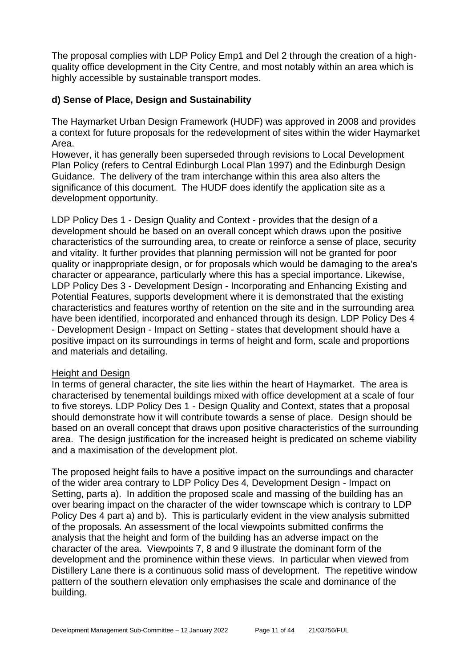The proposal complies with LDP Policy Emp1 and Del 2 through the creation of a highquality office development in the City Centre, and most notably within an area which is highly accessible by sustainable transport modes.

#### **d) Sense of Place, Design and Sustainability**

The Haymarket Urban Design Framework (HUDF) was approved in 2008 and provides a context for future proposals for the redevelopment of sites within the wider Haymarket Area.

However, it has generally been superseded through revisions to Local Development Plan Policy (refers to Central Edinburgh Local Plan 1997) and the Edinburgh Design Guidance. The delivery of the tram interchange within this area also alters the significance of this document. The HUDF does identify the application site as a development opportunity.

LDP Policy Des 1 - Design Quality and Context - provides that the design of a development should be based on an overall concept which draws upon the positive characteristics of the surrounding area, to create or reinforce a sense of place, security and vitality. It further provides that planning permission will not be granted for poor quality or inappropriate design, or for proposals which would be damaging to the area's character or appearance, particularly where this has a special importance. Likewise, LDP Policy Des 3 - Development Design - Incorporating and Enhancing Existing and Potential Features, supports development where it is demonstrated that the existing characteristics and features worthy of retention on the site and in the surrounding area have been identified, incorporated and enhanced through its design. LDP Policy Des 4 - Development Design - Impact on Setting - states that development should have a positive impact on its surroundings in terms of height and form, scale and proportions and materials and detailing.

#### Height and Design

In terms of general character, the site lies within the heart of Haymarket. The area is characterised by tenemental buildings mixed with office development at a scale of four to five storeys. LDP Policy Des 1 - Design Quality and Context, states that a proposal should demonstrate how it will contribute towards a sense of place. Design should be based on an overall concept that draws upon positive characteristics of the surrounding area. The design justification for the increased height is predicated on scheme viability and a maximisation of the development plot.

The proposed height fails to have a positive impact on the surroundings and character of the wider area contrary to LDP Policy Des 4, Development Design - Impact on Setting, parts a). In addition the proposed scale and massing of the building has an over bearing impact on the character of the wider townscape which is contrary to LDP Policy Des 4 part a) and b). This is particularly evident in the view analysis submitted of the proposals. An assessment of the local viewpoints submitted confirms the analysis that the height and form of the building has an adverse impact on the character of the area. Viewpoints 7, 8 and 9 illustrate the dominant form of the development and the prominence within these views. In particular when viewed from Distillery Lane there is a continuous solid mass of development. The repetitive window pattern of the southern elevation only emphasises the scale and dominance of the building.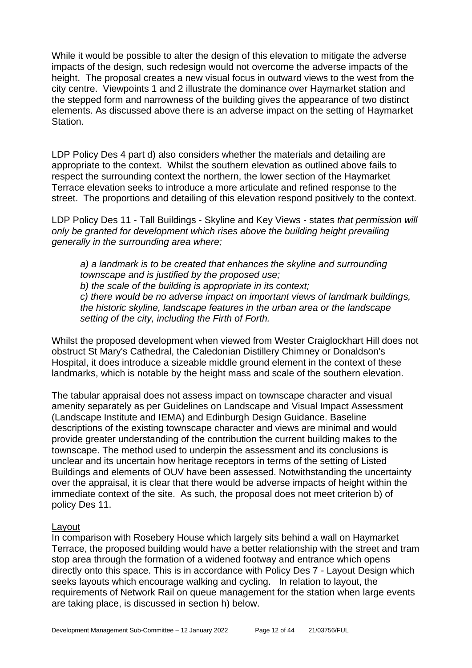While it would be possible to alter the design of this elevation to mitigate the adverse impacts of the design, such redesign would not overcome the adverse impacts of the height. The proposal creates a new visual focus in outward views to the west from the city centre. Viewpoints 1 and 2 illustrate the dominance over Haymarket station and the stepped form and narrowness of the building gives the appearance of two distinct elements. As discussed above there is an adverse impact on the setting of Haymarket Station.

LDP Policy Des 4 part d) also considers whether the materials and detailing are appropriate to the context. Whilst the southern elevation as outlined above fails to respect the surrounding context the northern, the lower section of the Haymarket Terrace elevation seeks to introduce a more articulate and refined response to the street. The proportions and detailing of this elevation respond positively to the context.

LDP Policy Des 11 - Tall Buildings - Skyline and Key Views - states *that permission will only be granted for development which rises above the building height prevailing generally in the surrounding area where;*

*a) a landmark is to be created that enhances the skyline and surrounding townscape and is justified by the proposed use; b) the scale of the building is appropriate in its context; c) there would be no adverse impact on important views of landmark buildings, the historic skyline, landscape features in the urban area or the landscape setting of the city, including the Firth of Forth.*

Whilst the proposed development when viewed from Wester Craiglockhart Hill does not obstruct St Mary's Cathedral, the Caledonian Distillery Chimney or Donaldson's Hospital, it does introduce a sizeable middle ground element in the context of these landmarks, which is notable by the height mass and scale of the southern elevation.

The tabular appraisal does not assess impact on townscape character and visual amenity separately as per Guidelines on Landscape and Visual Impact Assessment (Landscape Institute and IEMA) and Edinburgh Design Guidance. Baseline descriptions of the existing townscape character and views are minimal and would provide greater understanding of the contribution the current building makes to the townscape. The method used to underpin the assessment and its conclusions is unclear and its uncertain how heritage receptors in terms of the setting of Listed Buildings and elements of OUV have been assessed. Notwithstanding the uncertainty over the appraisal, it is clear that there would be adverse impacts of height within the immediate context of the site. As such, the proposal does not meet criterion b) of policy Des 11.

#### Layout

In comparison with Rosebery House which largely sits behind a wall on Haymarket Terrace, the proposed building would have a better relationship with the street and tram stop area through the formation of a widened footway and entrance which opens directly onto this space. This is in accordance with Policy Des 7 - Layout Design which seeks layouts which encourage walking and cycling. In relation to layout, the requirements of Network Rail on queue management for the station when large events are taking place, is discussed in section h) below.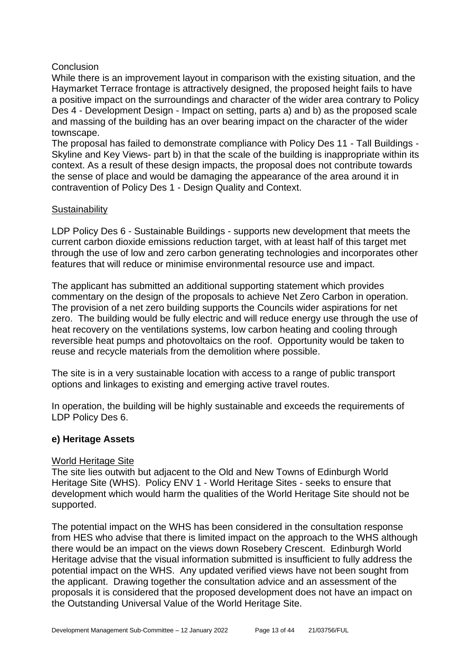#### Conclusion

While there is an improvement layout in comparison with the existing situation, and the Haymarket Terrace frontage is attractively designed, the proposed height fails to have a positive impact on the surroundings and character of the wider area contrary to Policy Des 4 - Development Design - Impact on setting, parts a) and b) as the proposed scale and massing of the building has an over bearing impact on the character of the wider townscape.

The proposal has failed to demonstrate compliance with Policy Des 11 - Tall Buildings - Skyline and Key Views- part b) in that the scale of the building is inappropriate within its context. As a result of these design impacts, the proposal does not contribute towards the sense of place and would be damaging the appearance of the area around it in contravention of Policy Des 1 - Design Quality and Context.

#### **Sustainability**

LDP Policy Des 6 - Sustainable Buildings - supports new development that meets the current carbon dioxide emissions reduction target, with at least half of this target met through the use of low and zero carbon generating technologies and incorporates other features that will reduce or minimise environmental resource use and impact.

The applicant has submitted an additional supporting statement which provides commentary on the design of the proposals to achieve Net Zero Carbon in operation. The provision of a net zero building supports the Councils wider aspirations for net zero. The building would be fully electric and will reduce energy use through the use of heat recovery on the ventilations systems, low carbon heating and cooling through reversible heat pumps and photovoltaics on the roof. Opportunity would be taken to reuse and recycle materials from the demolition where possible.

The site is in a very sustainable location with access to a range of public transport options and linkages to existing and emerging active travel routes.

In operation, the building will be highly sustainable and exceeds the requirements of LDP Policy Des 6.

#### **e) Heritage Assets**

#### World Heritage Site

The site lies outwith but adjacent to the Old and New Towns of Edinburgh World Heritage Site (WHS). Policy ENV 1 - World Heritage Sites - seeks to ensure that development which would harm the qualities of the World Heritage Site should not be supported.

The potential impact on the WHS has been considered in the consultation response from HES who advise that there is limited impact on the approach to the WHS although there would be an impact on the views down Rosebery Crescent. Edinburgh World Heritage advise that the visual information submitted is insufficient to fully address the potential impact on the WHS. Any updated verified views have not been sought from the applicant. Drawing together the consultation advice and an assessment of the proposals it is considered that the proposed development does not have an impact on the Outstanding Universal Value of the World Heritage Site.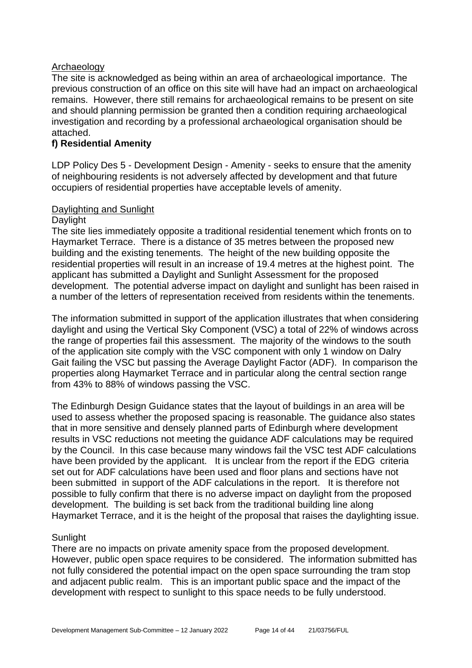#### Archaeology

The site is acknowledged as being within an area of archaeological importance. The previous construction of an office on this site will have had an impact on archaeological remains. However, there still remains for archaeological remains to be present on site and should planning permission be granted then a condition requiring archaeological investigation and recording by a professional archaeological organisation should be attached.

#### **f) Residential Amenity**

LDP Policy Des 5 - Development Design - Amenity - seeks to ensure that the amenity of neighbouring residents is not adversely affected by development and that future occupiers of residential properties have acceptable levels of amenity.

#### Daylighting and Sunlight

#### Daylight

The site lies immediately opposite a traditional residential tenement which fronts on to Haymarket Terrace. There is a distance of 35 metres between the proposed new building and the existing tenements. The height of the new building opposite the residential properties will result in an increase of 19.4 metres at the highest point. The applicant has submitted a Daylight and Sunlight Assessment for the proposed development. The potential adverse impact on daylight and sunlight has been raised in a number of the letters of representation received from residents within the tenements.

The information submitted in support of the application illustrates that when considering daylight and using the Vertical Sky Component (VSC) a total of 22% of windows across the range of properties fail this assessment. The majority of the windows to the south of the application site comply with the VSC component with only 1 window on Dalry Gait failing the VSC but passing the Average Daylight Factor (ADF). In comparison the properties along Haymarket Terrace and in particular along the central section range from 43% to 88% of windows passing the VSC.

The Edinburgh Design Guidance states that the layout of buildings in an area will be used to assess whether the proposed spacing is reasonable. The guidance also states that in more sensitive and densely planned parts of Edinburgh where development results in VSC reductions not meeting the guidance ADF calculations may be required by the Council. In this case because many windows fail the VSC test ADF calculations have been provided by the applicant. It is unclear from the report if the EDG criteria set out for ADF calculations have been used and floor plans and sections have not been submitted in support of the ADF calculations in the report. It is therefore not possible to fully confirm that there is no adverse impact on daylight from the proposed development. The building is set back from the traditional building line along Haymarket Terrace, and it is the height of the proposal that raises the daylighting issue.

## **Sunlight**

There are no impacts on private amenity space from the proposed development. However, public open space requires to be considered. The information submitted has not fully considered the potential impact on the open space surrounding the tram stop and adjacent public realm. This is an important public space and the impact of the development with respect to sunlight to this space needs to be fully understood.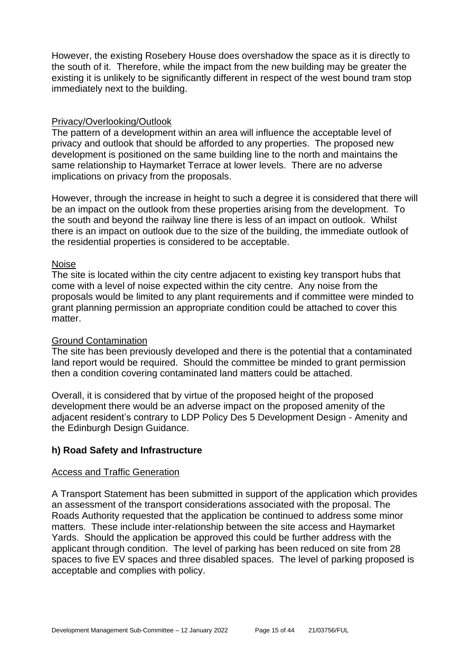However, the existing Rosebery House does overshadow the space as it is directly to the south of it. Therefore, while the impact from the new building may be greater the existing it is unlikely to be significantly different in respect of the west bound tram stop immediately next to the building.

#### Privacy/Overlooking/Outlook

The pattern of a development within an area will influence the acceptable level of privacy and outlook that should be afforded to any properties. The proposed new development is positioned on the same building line to the north and maintains the same relationship to Haymarket Terrace at lower levels. There are no adverse implications on privacy from the proposals.

However, through the increase in height to such a degree it is considered that there will be an impact on the outlook from these properties arising from the development. To the south and beyond the railway line there is less of an impact on outlook. Whilst there is an impact on outlook due to the size of the building, the immediate outlook of the residential properties is considered to be acceptable.

#### Noise

The site is located within the city centre adjacent to existing key transport hubs that come with a level of noise expected within the city centre. Any noise from the proposals would be limited to any plant requirements and if committee were minded to grant planning permission an appropriate condition could be attached to cover this matter.

#### Ground Contamination

The site has been previously developed and there is the potential that a contaminated land report would be required. Should the committee be minded to grant permission then a condition covering contaminated land matters could be attached.

Overall, it is considered that by virtue of the proposed height of the proposed development there would be an adverse impact on the proposed amenity of the adjacent resident's contrary to LDP Policy Des 5 Development Design - Amenity and the Edinburgh Design Guidance.

#### **h) Road Safety and Infrastructure**

#### Access and Traffic Generation

A Transport Statement has been submitted in support of the application which provides an assessment of the transport considerations associated with the proposal. The Roads Authority requested that the application be continued to address some minor matters. These include inter-relationship between the site access and Haymarket Yards. Should the application be approved this could be further address with the applicant through condition. The level of parking has been reduced on site from 28 spaces to five EV spaces and three disabled spaces. The level of parking proposed is acceptable and complies with policy.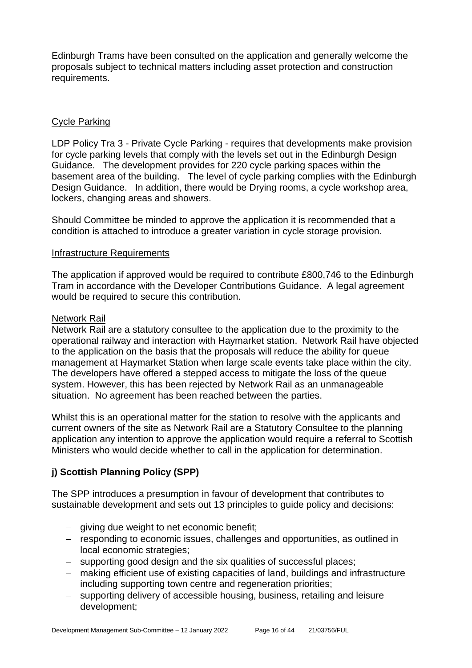Edinburgh Trams have been consulted on the application and generally welcome the proposals subject to technical matters including asset protection and construction requirements.

#### Cycle Parking

LDP Policy Tra 3 - Private Cycle Parking - requires that developments make provision for cycle parking levels that comply with the levels set out in the Edinburgh Design Guidance. The development provides for 220 cycle parking spaces within the basement area of the building. The level of cycle parking complies with the Edinburgh Design Guidance. In addition, there would be Drying rooms, a cycle workshop area, lockers, changing areas and showers.

Should Committee be minded to approve the application it is recommended that a condition is attached to introduce a greater variation in cycle storage provision.

#### Infrastructure Requirements

The application if approved would be required to contribute £800,746 to the Edinburgh Tram in accordance with the Developer Contributions Guidance. A legal agreement would be required to secure this contribution.

#### Network Rail

Network Rail are a statutory consultee to the application due to the proximity to the operational railway and interaction with Haymarket station. Network Rail have objected to the application on the basis that the proposals will reduce the ability for queue management at Haymarket Station when large scale events take place within the city. The developers have offered a stepped access to mitigate the loss of the queue system. However, this has been rejected by Network Rail as an unmanageable situation. No agreement has been reached between the parties.

Whilst this is an operational matter for the station to resolve with the applicants and current owners of the site as Network Rail are a Statutory Consultee to the planning application any intention to approve the application would require a referral to Scottish Ministers who would decide whether to call in the application for determination.

## **j) Scottish Planning Policy (SPP)**

The SPP introduces a presumption in favour of development that contributes to sustainable development and sets out 13 principles to guide policy and decisions:

- − giving due weight to net economic benefit;
- − responding to economic issues, challenges and opportunities, as outlined in local economic strategies;
- − supporting good design and the six qualities of successful places;
- − making efficient use of existing capacities of land, buildings and infrastructure including supporting town centre and regeneration priorities;
- − supporting delivery of accessible housing, business, retailing and leisure development;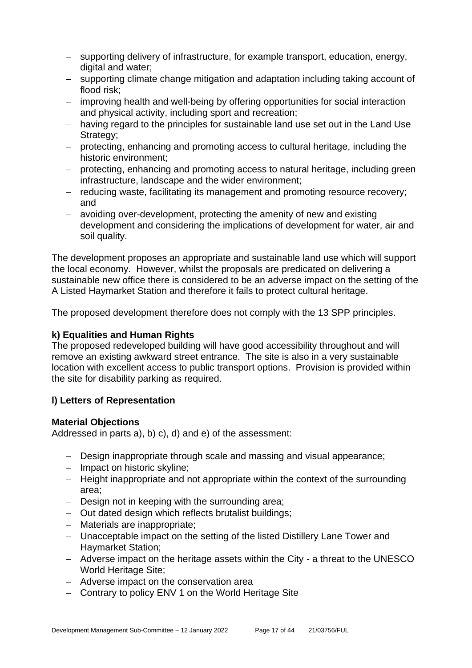- − supporting delivery of infrastructure, for example transport, education, energy, digital and water;
- − supporting climate change mitigation and adaptation including taking account of flood risk;
- − improving health and well-being by offering opportunities for social interaction and physical activity, including sport and recreation;
- − having regard to the principles for sustainable land use set out in the Land Use Strategy:
- − protecting, enhancing and promoting access to cultural heritage, including the historic environment;
- − protecting, enhancing and promoting access to natural heritage, including green infrastructure, landscape and the wider environment;
- − reducing waste, facilitating its management and promoting resource recovery; and
- − avoiding over-development, protecting the amenity of new and existing development and considering the implications of development for water, air and soil quality.

The development proposes an appropriate and sustainable land use which will support the local economy. However, whilst the proposals are predicated on delivering a sustainable new office there is considered to be an adverse impact on the setting of the A Listed Haymarket Station and therefore it fails to protect cultural heritage.

The proposed development therefore does not comply with the 13 SPP principles.

#### **k) Equalities and Human Rights**

The proposed redeveloped building will have good accessibility throughout and will remove an existing awkward street entrance. The site is also in a very sustainable location with excellent access to public transport options. Provision is provided within the site for disability parking as required.

## **l) Letters of Representation**

#### **Material Objections**

Addressed in parts a), b) c), d) and e) of the assessment:

- − Design inappropriate through scale and massing and visual appearance;
- − Impact on historic skyline;
- − Height inappropriate and not appropriate within the context of the surrounding area;
- − Design not in keeping with the surrounding area;
- − Out dated design which reflects brutalist buildings;
- − Materials are inappropriate;
- − Unacceptable impact on the setting of the listed Distillery Lane Tower and Haymarket Station;
- − Adverse impact on the heritage assets within the City a threat to the UNESCO World Heritage Site;
- − Adverse impact on the conservation area
- − Contrary to policy ENV 1 on the World Heritage Site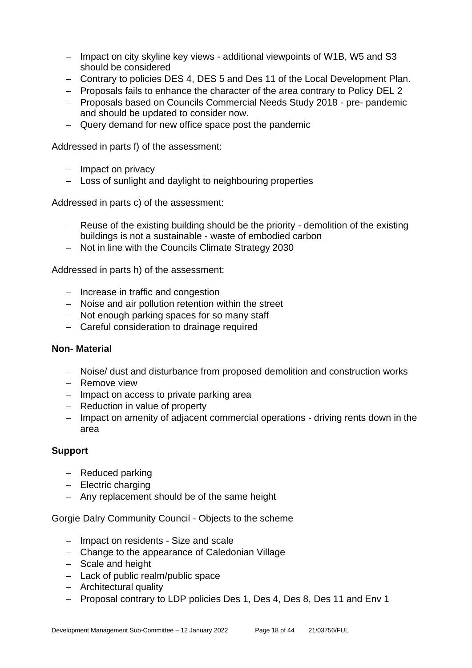- − Impact on city skyline key views additional viewpoints of W1B, W5 and S3 should be considered
- − Contrary to policies DES 4, DES 5 and Des 11 of the Local Development Plan.
- − Proposals fails to enhance the character of the area contrary to Policy DEL 2
- − Proposals based on Councils Commercial Needs Study 2018 pre- pandemic and should be updated to consider now.
- − Query demand for new office space post the pandemic

Addressed in parts f) of the assessment:

- − Impact on privacy
- − Loss of sunlight and daylight to neighbouring properties

Addressed in parts c) of the assessment:

- − Reuse of the existing building should be the priority demolition of the existing buildings is not a sustainable - waste of embodied carbon
- − Not in line with the Councils Climate Strategy 2030

Addressed in parts h) of the assessment:

- − Increase in traffic and congestion
- − Noise and air pollution retention within the street
- − Not enough parking spaces for so many staff
- − Careful consideration to drainage required

#### **Non- Material**

- − Noise/ dust and disturbance from proposed demolition and construction works
- − Remove view
- − Impact on access to private parking area
- − Reduction in value of property
- − Impact on amenity of adjacent commercial operations driving rents down in the area

#### **Support**

- − Reduced parking
- − Electric charging
- − Any replacement should be of the same height

Gorgie Dalry Community Council - Objects to the scheme

- − Impact on residents Size and scale
- − Change to the appearance of Caledonian Village
- − Scale and height
- − Lack of public realm/public space
- − Architectural quality
- − Proposal contrary to LDP policies Des 1, Des 4, Des 8, Des 11 and Env 1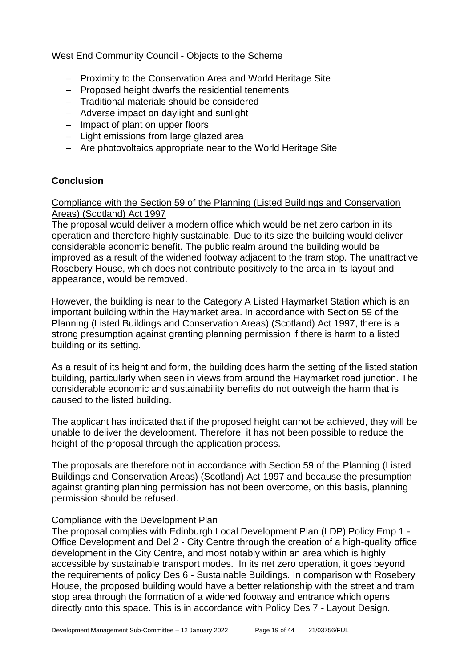West End Community Council - Objects to the Scheme

- − Proximity to the Conservation Area and World Heritage Site
- − Proposed height dwarfs the residential tenements
- − Traditional materials should be considered
- − Adverse impact on daylight and sunlight
- − Impact of plant on upper floors
- − Light emissions from large glazed area
- − Are photovoltaics appropriate near to the World Heritage Site

#### **Conclusion**

Compliance with the Section 59 of the Planning (Listed Buildings and Conservation Areas) (Scotland) Act 1997

The proposal would deliver a modern office which would be net zero carbon in its operation and therefore highly sustainable. Due to its size the building would deliver considerable economic benefit. The public realm around the building would be improved as a result of the widened footway adjacent to the tram stop. The unattractive Rosebery House, which does not contribute positively to the area in its layout and appearance, would be removed.

However, the building is near to the Category A Listed Haymarket Station which is an important building within the Haymarket area. In accordance with Section 59 of the Planning (Listed Buildings and Conservation Areas) (Scotland) Act 1997, there is a strong presumption against granting planning permission if there is harm to a listed building or its setting.

As a result of its height and form, the building does harm the setting of the listed station building, particularly when seen in views from around the Haymarket road junction. The considerable economic and sustainability benefits do not outweigh the harm that is caused to the listed building.

The applicant has indicated that if the proposed height cannot be achieved, they will be unable to deliver the development. Therefore, it has not been possible to reduce the height of the proposal through the application process.

The proposals are therefore not in accordance with Section 59 of the Planning (Listed Buildings and Conservation Areas) (Scotland) Act 1997 and because the presumption against granting planning permission has not been overcome, on this basis, planning permission should be refused.

#### Compliance with the Development Plan

The proposal complies with Edinburgh Local Development Plan (LDP) Policy Emp 1 - Office Development and Del 2 - City Centre through the creation of a high-quality office development in the City Centre, and most notably within an area which is highly accessible by sustainable transport modes. In its net zero operation, it goes beyond the requirements of policy Des 6 - Sustainable Buildings. In comparison with Rosebery House, the proposed building would have a better relationship with the street and tram stop area through the formation of a widened footway and entrance which opens directly onto this space. This is in accordance with Policy Des 7 - Layout Design.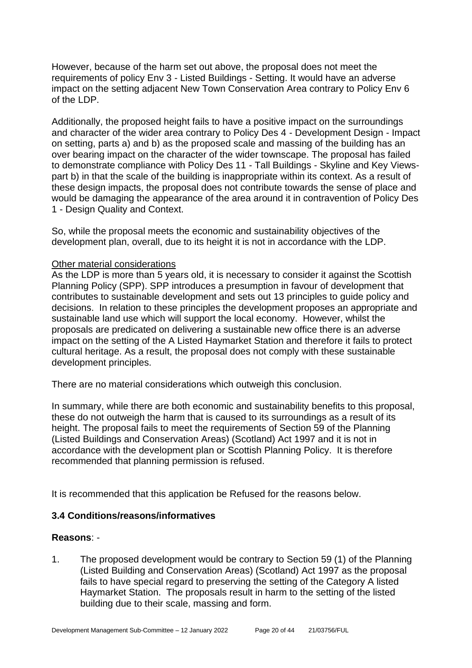However, because of the harm set out above, the proposal does not meet the requirements of policy Env 3 - Listed Buildings - Setting. It would have an adverse impact on the setting adjacent New Town Conservation Area contrary to Policy Env 6 of the LDP.

Additionally, the proposed height fails to have a positive impact on the surroundings and character of the wider area contrary to Policy Des 4 - Development Design - Impact on setting, parts a) and b) as the proposed scale and massing of the building has an over bearing impact on the character of the wider townscape. The proposal has failed to demonstrate compliance with Policy Des 11 - Tall Buildings - Skyline and Key Viewspart b) in that the scale of the building is inappropriate within its context. As a result of these design impacts, the proposal does not contribute towards the sense of place and would be damaging the appearance of the area around it in contravention of Policy Des 1 - Design Quality and Context.

So, while the proposal meets the economic and sustainability objectives of the development plan, overall, due to its height it is not in accordance with the LDP.

#### Other material considerations

As the LDP is more than 5 years old, it is necessary to consider it against the Scottish Planning Policy (SPP). SPP introduces a presumption in favour of development that contributes to sustainable development and sets out 13 principles to guide policy and decisions. In relation to these principles the development proposes an appropriate and sustainable land use which will support the local economy. However, whilst the proposals are predicated on delivering a sustainable new office there is an adverse impact on the setting of the A Listed Haymarket Station and therefore it fails to protect cultural heritage. As a result, the proposal does not comply with these sustainable development principles.

There are no material considerations which outweigh this conclusion.

In summary, while there are both economic and sustainability benefits to this proposal, these do not outweigh the harm that is caused to its surroundings as a result of its height. The proposal fails to meet the requirements of Section 59 of the Planning (Listed Buildings and Conservation Areas) (Scotland) Act 1997 and it is not in accordance with the development plan or Scottish Planning Policy. It is therefore recommended that planning permission is refused.

It is recommended that this application be Refused for the reasons below.

#### **3.4 Conditions/reasons/informatives**

#### **Reasons**: -

1. The proposed development would be contrary to Section 59 (1) of the Planning (Listed Building and Conservation Areas) (Scotland) Act 1997 as the proposal fails to have special regard to preserving the setting of the Category A listed Haymarket Station. The proposals result in harm to the setting of the listed building due to their scale, massing and form.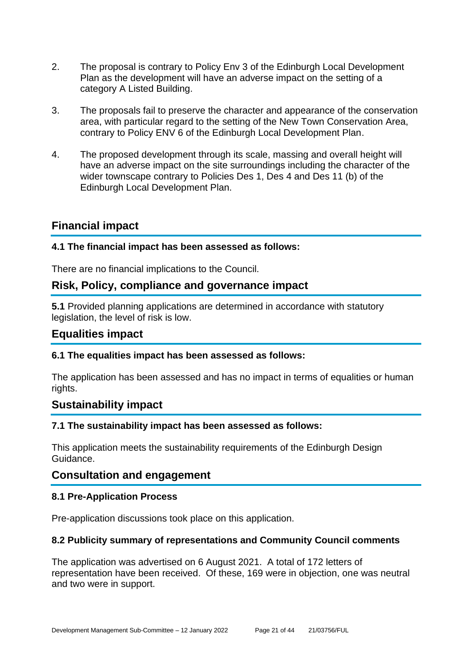- 2. The proposal is contrary to Policy Env 3 of the Edinburgh Local Development Plan as the development will have an adverse impact on the setting of a category A Listed Building.
- 3. The proposals fail to preserve the character and appearance of the conservation area, with particular regard to the setting of the New Town Conservation Area, contrary to Policy ENV 6 of the Edinburgh Local Development Plan.
- 4. The proposed development through its scale, massing and overall height will have an adverse impact on the site surroundings including the character of the wider townscape contrary to Policies Des 1, Des 4 and Des 11 (b) of the Edinburgh Local Development Plan.

## **Financial impact**

#### **4.1 The financial impact has been assessed as follows:**

There are no financial implications to the Council.

## **Risk, Policy, compliance and governance impact**

**5.1** Provided planning applications are determined in accordance with statutory legislation, the level of risk is low.

#### **Equalities impact**

#### **6.1 The equalities impact has been assessed as follows:**

The application has been assessed and has no impact in terms of equalities or human rights.

## **Sustainability impact**

#### **7.1 The sustainability impact has been assessed as follows:**

This application meets the sustainability requirements of the Edinburgh Design Guidance.

#### **Consultation and engagement**

#### **8.1 Pre-Application Process**

Pre-application discussions took place on this application.

#### **8.2 Publicity summary of representations and Community Council comments**

The application was advertised on 6 August 2021. A total of 172 letters of representation have been received. Of these, 169 were in objection, one was neutral and two were in support.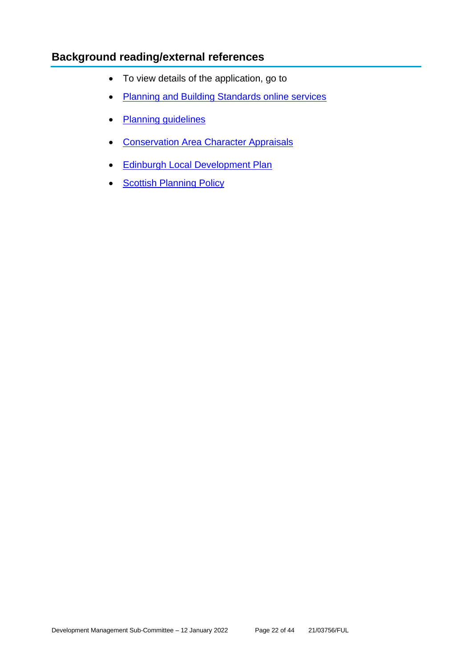## **Background reading/external references**

- To view details of the application, go to
- [Planning and Building Standards online services](https://citydev-portal.edinburgh.gov.uk/idoxpa-web/search.do?action=simple&searchType=Application)
- [Planning guidelines](http://www.edinburgh.gov.uk/planningguidelines)
- [Conservation Area Character Appraisals](http://www.edinburgh.gov.uk/characterappraisals)
- [Edinburgh Local Development Plan](http://www.edinburgh.gov.uk/localdevelopmentplan)
- [Scottish Planning Policy](http://www.scotland.gov.uk/Topics/Built-Environment/planning/Policy)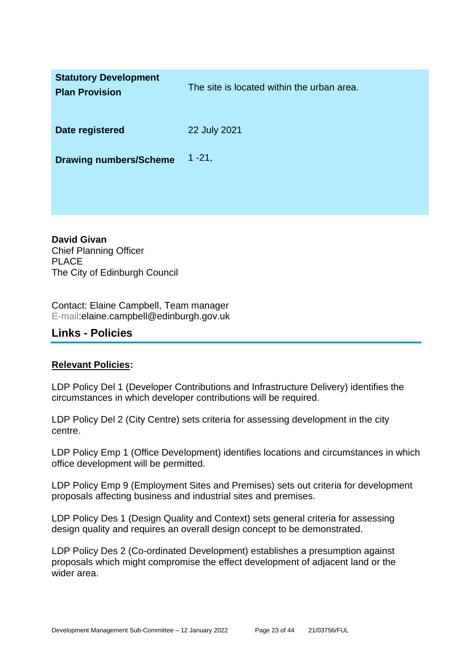| <b>Statutory Development</b><br><b>Plan Provision</b> | The site is located within the urban area. |
|-------------------------------------------------------|--------------------------------------------|
| Date registered                                       | 22 July 2021                               |
| <b>Drawing numbers/Scheme</b>                         | $1 - 21$ ,                                 |

**David Givan** Chief Planning Officer PLACE The City of Edinburgh Council

Contact: Elaine Campbell, Team manager E-mail:elaine.campbell@edinburgh.gov.uk

## **Links - Policies**

#### **Relevant Policies:**

LDP Policy Del 1 (Developer Contributions and Infrastructure Delivery) identifies the circumstances in which developer contributions will be required.

LDP Policy Del 2 (City Centre) sets criteria for assessing development in the city centre.

LDP Policy Emp 1 (Office Development) identifies locations and circumstances in which office development will be permitted.

LDP Policy Emp 9 (Employment Sites and Premises) sets out criteria for development proposals affecting business and industrial sites and premises.

LDP Policy Des 1 (Design Quality and Context) sets general criteria for assessing design quality and requires an overall design concept to be demonstrated.

LDP Policy Des 2 (Co-ordinated Development) establishes a presumption against proposals which might compromise the effect development of adjacent land or the wider area.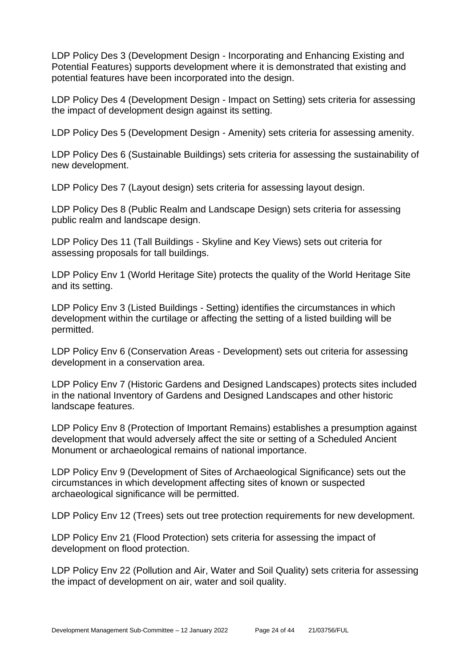LDP Policy Des 3 (Development Design - Incorporating and Enhancing Existing and Potential Features) supports development where it is demonstrated that existing and potential features have been incorporated into the design.

LDP Policy Des 4 (Development Design - Impact on Setting) sets criteria for assessing the impact of development design against its setting.

LDP Policy Des 5 (Development Design - Amenity) sets criteria for assessing amenity.

LDP Policy Des 6 (Sustainable Buildings) sets criteria for assessing the sustainability of new development.

LDP Policy Des 7 (Layout design) sets criteria for assessing layout design.

LDP Policy Des 8 (Public Realm and Landscape Design) sets criteria for assessing public realm and landscape design.

LDP Policy Des 11 (Tall Buildings - Skyline and Key Views) sets out criteria for assessing proposals for tall buildings.

LDP Policy Env 1 (World Heritage Site) protects the quality of the World Heritage Site and its setting.

LDP Policy Env 3 (Listed Buildings - Setting) identifies the circumstances in which development within the curtilage or affecting the setting of a listed building will be permitted.

LDP Policy Env 6 (Conservation Areas - Development) sets out criteria for assessing development in a conservation area.

LDP Policy Env 7 (Historic Gardens and Designed Landscapes) protects sites included in the national Inventory of Gardens and Designed Landscapes and other historic landscape features.

LDP Policy Env 8 (Protection of Important Remains) establishes a presumption against development that would adversely affect the site or setting of a Scheduled Ancient Monument or archaeological remains of national importance.

LDP Policy Env 9 (Development of Sites of Archaeological Significance) sets out the circumstances in which development affecting sites of known or suspected archaeological significance will be permitted.

LDP Policy Env 12 (Trees) sets out tree protection requirements for new development.

LDP Policy Env 21 (Flood Protection) sets criteria for assessing the impact of development on flood protection.

LDP Policy Env 22 (Pollution and Air, Water and Soil Quality) sets criteria for assessing the impact of development on air, water and soil quality.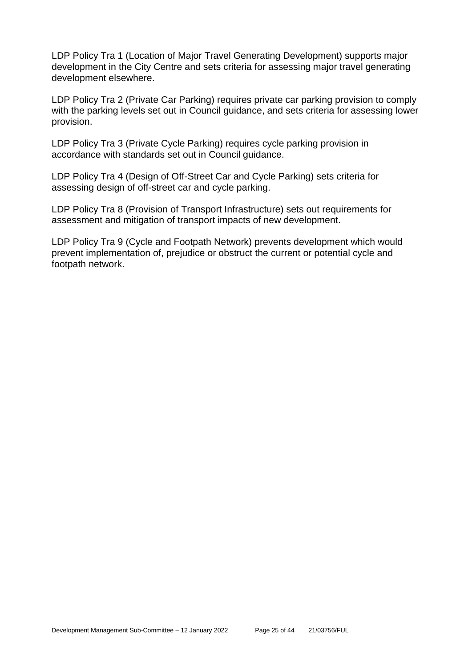LDP Policy Tra 1 (Location of Major Travel Generating Development) supports major development in the City Centre and sets criteria for assessing major travel generating development elsewhere.

LDP Policy Tra 2 (Private Car Parking) requires private car parking provision to comply with the parking levels set out in Council guidance, and sets criteria for assessing lower provision.

LDP Policy Tra 3 (Private Cycle Parking) requires cycle parking provision in accordance with standards set out in Council guidance.

LDP Policy Tra 4 (Design of Off-Street Car and Cycle Parking) sets criteria for assessing design of off-street car and cycle parking.

LDP Policy Tra 8 (Provision of Transport Infrastructure) sets out requirements for assessment and mitigation of transport impacts of new development.

LDP Policy Tra 9 (Cycle and Footpath Network) prevents development which would prevent implementation of, prejudice or obstruct the current or potential cycle and footpath network.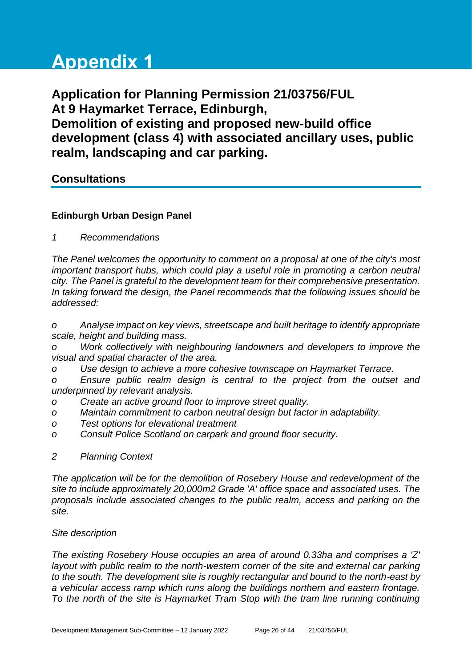# **Appendix 1**

**Application for Planning Permission 21/03756/FUL At 9 Haymarket Terrace, Edinburgh, Demolition of existing and proposed new-build office development (class 4) with associated ancillary uses, public realm, landscaping and car parking.**

## **Consultations**

## **Edinburgh Urban Design Panel**

*1 Recommendations*

*The Panel welcomes the opportunity to comment on a proposal at one of the city's most important transport hubs, which could play a useful role in promoting a carbon neutral city. The Panel is grateful to the development team for their comprehensive presentation. In taking forward the design, the Panel recommends that the following issues should be addressed:* 

*o Analyse impact on key views, streetscape and built heritage to identify appropriate scale, height and building mass.*

*o Work collectively with neighbouring landowners and developers to improve the visual and spatial character of the area.*

*o Use design to achieve a more cohesive townscape on Haymarket Terrace.* 

*o Ensure public realm design is central to the project from the outset and underpinned by relevant analysis.*

- *o Create an active ground floor to improve street quality.*
- *o Maintain commitment to carbon neutral design but factor in adaptability.*
- *o Test options for elevational treatment*
- *o Consult Police Scotland on carpark and ground floor security.*
- *2 Planning Context*

*The application will be for the demolition of Rosebery House and redevelopment of the site to include approximately 20,000m2 Grade 'A' office space and associated uses. The proposals include associated changes to the public realm, access and parking on the site.* 

#### *Site description*

*The existing Rosebery House occupies an area of around 0.33ha and comprises a 'Z' layout with public realm to the north-western corner of the site and external car parking to the south. The development site is roughly rectangular and bound to the north-east by a vehicular access ramp which runs along the buildings northern and eastern frontage. To the north of the site is Haymarket Tram Stop with the tram line running continuing*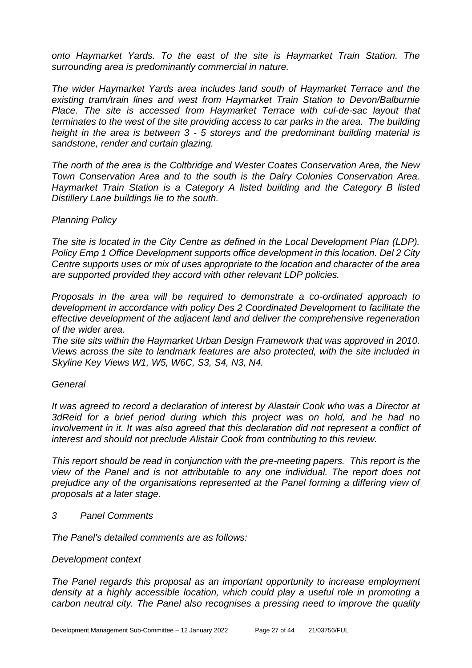*onto Haymarket Yards. To the east of the site is Haymarket Train Station. The surrounding area is predominantly commercial in nature.* 

*The wider Haymarket Yards area includes land south of Haymarket Terrace and the existing tram/train lines and west from Haymarket Train Station to Devon/Balburnie*  Place. The site is accessed from Haymarket Terrace with cul-de-sac layout that *terminates to the west of the site providing access to car parks in the area. The building height in the area is between 3 - 5 storeys and the predominant building material is sandstone, render and curtain glazing.*

*The north of the area is the Coltbridge and Wester Coates Conservation Area, the New Town Conservation Area and to the south is the Dalry Colonies Conservation Area. Haymarket Train Station is a Category A listed building and the Category B listed Distillery Lane buildings lie to the south.*

#### *Planning Policy*

*The site is located in the City Centre as defined in the Local Development Plan (LDP). Policy Emp 1 Office Development supports office development in this location. Del 2 City Centre supports uses or mix of uses appropriate to the location and character of the area are supported provided they accord with other relevant LDP policies.* 

*Proposals in the area will be required to demonstrate a co-ordinated approach to development in accordance with policy Des 2 Coordinated Development to facilitate the effective development of the adjacent land and deliver the comprehensive regeneration of the wider area.*

*The site sits within the Haymarket Urban Design Framework that was approved in 2010. Views across the site to landmark features are also protected, with the site included in Skyline Key Views W1, W5, W6C, S3, S4, N3, N4.*

#### *General*

*It was agreed to record a declaration of interest by Alastair Cook who was a Director at 3dReid for a brief period during which this project was on hold, and he had no involvement in it. It was also agreed that this declaration did not represent a conflict of interest and should not preclude Alistair Cook from contributing to this review.* 

*This report should be read in conjunction with the pre-meeting papers. This report is the view of the Panel and is not attributable to any one individual. The report does not prejudice any of the organisations represented at the Panel forming a differing view of proposals at a later stage.*

*3 Panel Comments*

*The Panel's detailed comments are as follows:*

#### *Development context*

*The Panel regards this proposal as an important opportunity to increase employment density at a highly accessible location, which could play a useful role in promoting a carbon neutral city. The Panel also recognises a pressing need to improve the quality*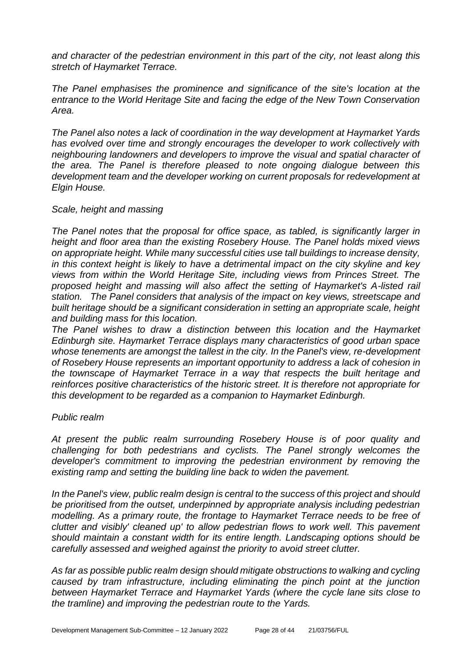*and character of the pedestrian environment in this part of the city, not least along this stretch of Haymarket Terrace.* 

*The Panel emphasises the prominence and significance of the site's location at the entrance to the World Heritage Site and facing the edge of the New Town Conservation Area.* 

*The Panel also notes a lack of coordination in the way development at Haymarket Yards has evolved over time and strongly encourages the developer to work collectively with neighbouring landowners and developers to improve the visual and spatial character of the area. The Panel is therefore pleased to note ongoing dialogue between this development team and the developer working on current proposals for redevelopment at Elgin House.*

#### *Scale, height and massing*

*The Panel notes that the proposal for office space, as tabled, is significantly larger in height and floor area than the existing Rosebery House. The Panel holds mixed views on appropriate height. While many successful cities use tall buildings to increase density, in this context height is likely to have a detrimental impact on the city skyline and key views from within the World Heritage Site, including views from Princes Street. The proposed height and massing will also affect the setting of Haymarket's A-listed rail station. The Panel considers that analysis of the impact on key views, streetscape and built heritage should be a significant consideration in setting an appropriate scale, height and building mass for this location.*

*The Panel wishes to draw a distinction between this location and the Haymarket Edinburgh site. Haymarket Terrace displays many characteristics of good urban space whose tenements are amongst the tallest in the city. In the Panel's view, re-development of Rosebery House represents an important opportunity to address a lack of cohesion in the townscape of Haymarket Terrace in a way that respects the built heritage and reinforces positive characteristics of the historic street. It is therefore not appropriate for this development to be regarded as a companion to Haymarket Edinburgh.*

#### *Public realm*

*At present the public realm surrounding Rosebery House is of poor quality and challenging for both pedestrians and cyclists. The Panel strongly welcomes the developer's commitment to improving the pedestrian environment by removing the existing ramp and setting the building line back to widen the pavement.* 

*In the Panel's view, public realm design is central to the success of this project and should be prioritised from the outset, underpinned by appropriate analysis including pedestrian modelling. As a primary route, the frontage to Haymarket Terrace needs to be free of clutter and visibly' cleaned up' to allow pedestrian flows to work well. This pavement should maintain a constant width for its entire length. Landscaping options should be carefully assessed and weighed against the priority to avoid street clutter.* 

*As far as possible public realm design should mitigate obstructions to walking and cycling caused by tram infrastructure, including eliminating the pinch point at the junction between Haymarket Terrace and Haymarket Yards (where the cycle lane sits close to the tramline) and improving the pedestrian route to the Yards.*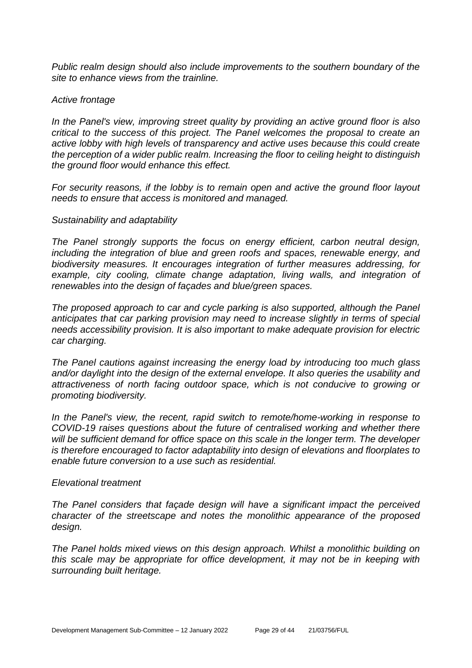*Public realm design should also include improvements to the southern boundary of the site to enhance views from the trainline.* 

#### *Active frontage*

*In the Panel's view, improving street quality by providing an active ground floor is also critical to the success of this project. The Panel welcomes the proposal to create an active lobby with high levels of transparency and active uses because this could create the perception of a wider public realm. Increasing the floor to ceiling height to distinguish the ground floor would enhance this effect.* 

*For security reasons, if the lobby is to remain open and active the ground floor layout needs to ensure that access is monitored and managed.*

#### *Sustainability and adaptability*

*The Panel strongly supports the focus on energy efficient, carbon neutral design, including the integration of blue and green roofs and spaces, renewable energy, and biodiversity measures. It encourages integration of further measures addressing, for example, city cooling, climate change adaptation, living walls, and integration of renewables into the design of façades and blue/green spaces.* 

*The proposed approach to car and cycle parking is also supported, although the Panel anticipates that car parking provision may need to increase slightly in terms of special needs accessibility provision. It is also important to make adequate provision for electric car charging.*

*The Panel cautions against increasing the energy load by introducing too much glass and/or daylight into the design of the external envelope. It also queries the usability and attractiveness of north facing outdoor space, which is not conducive to growing or promoting biodiversity.*

*In the Panel's view, the recent, rapid switch to remote/home-working in response to COVID-19 raises questions about the future of centralised working and whether there will be sufficient demand for office space on this scale in the longer term. The developer is therefore encouraged to factor adaptability into design of elevations and floorplates to enable future conversion to a use such as residential.*

#### *Elevational treatment*

*The Panel considers that façade design will have a significant impact the perceived character of the streetscape and notes the monolithic appearance of the proposed design.* 

*The Panel holds mixed views on this design approach. Whilst a monolithic building on this scale may be appropriate for office development, it may not be in keeping with surrounding built heritage.*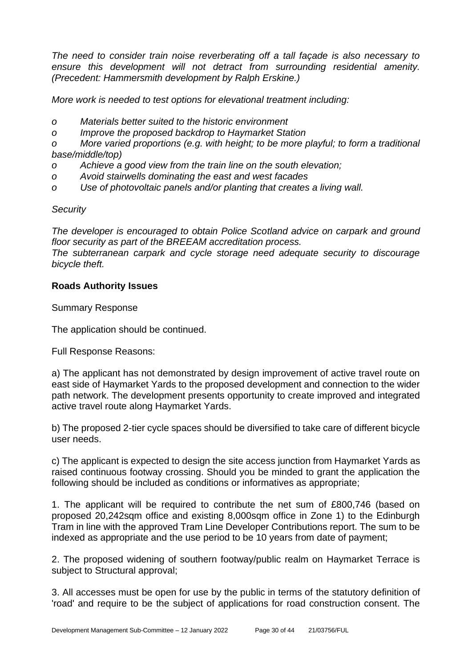*The need to consider train noise reverberating off a tall façade is also necessary to*  ensure this development will not detract from surrounding residential amenity. *(Precedent: Hammersmith development by Ralph Erskine.)*

*More work is needed to test options for elevational treatment including:*

- *o Materials better suited to the historic environment*
- *o Improve the proposed backdrop to Haymarket Station*

*o More varied proportions (e.g. with height; to be more playful; to form a traditional base/middle/top)*

- *o Achieve a good view from the train line on the south elevation;*
- *o Avoid stairwells dominating the east and west facades*
- *o Use of photovoltaic panels and/or planting that creates a living wall.*

#### *Security*

*The developer is encouraged to obtain Police Scotland advice on carpark and ground floor security as part of the BREEAM accreditation process.*

*The subterranean carpark and cycle storage need adequate security to discourage bicycle theft.*

#### **Roads Authority Issues**

Summary Response

The application should be continued.

Full Response Reasons:

a) The applicant has not demonstrated by design improvement of active travel route on east side of Haymarket Yards to the proposed development and connection to the wider path network. The development presents opportunity to create improved and integrated active travel route along Haymarket Yards.

b) The proposed 2-tier cycle spaces should be diversified to take care of different bicycle user needs.

c) The applicant is expected to design the site access junction from Haymarket Yards as raised continuous footway crossing. Should you be minded to grant the application the following should be included as conditions or informatives as appropriate;

1. The applicant will be required to contribute the net sum of £800,746 (based on proposed 20,242sqm office and existing 8,000sqm office in Zone 1) to the Edinburgh Tram in line with the approved Tram Line Developer Contributions report. The sum to be indexed as appropriate and the use period to be 10 years from date of payment;

2. The proposed widening of southern footway/public realm on Haymarket Terrace is subject to Structural approval;

3. All accesses must be open for use by the public in terms of the statutory definition of 'road' and require to be the subject of applications for road construction consent. The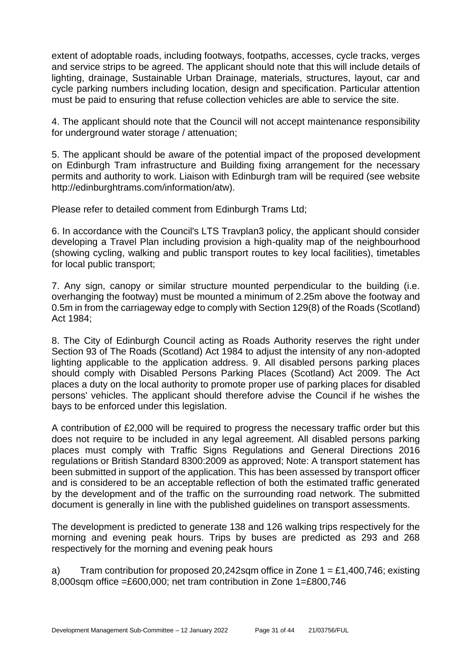extent of adoptable roads, including footways, footpaths, accesses, cycle tracks, verges and service strips to be agreed. The applicant should note that this will include details of lighting, drainage, Sustainable Urban Drainage, materials, structures, layout, car and cycle parking numbers including location, design and specification. Particular attention must be paid to ensuring that refuse collection vehicles are able to service the site.

4. The applicant should note that the Council will not accept maintenance responsibility for underground water storage / attenuation;

5. The applicant should be aware of the potential impact of the proposed development on Edinburgh Tram infrastructure and Building fixing arrangement for the necessary permits and authority to work. Liaison with Edinburgh tram will be required (see website http://edinburghtrams.com/information/atw).

Please refer to detailed comment from Edinburgh Trams Ltd;

6. In accordance with the Council's LTS Travplan3 policy, the applicant should consider developing a Travel Plan including provision a high-quality map of the neighbourhood (showing cycling, walking and public transport routes to key local facilities), timetables for local public transport;

7. Any sign, canopy or similar structure mounted perpendicular to the building (i.e. overhanging the footway) must be mounted a minimum of 2.25m above the footway and 0.5m in from the carriageway edge to comply with Section 129(8) of the Roads (Scotland) Act 1984;

8. The City of Edinburgh Council acting as Roads Authority reserves the right under Section 93 of The Roads (Scotland) Act 1984 to adjust the intensity of any non-adopted lighting applicable to the application address. 9. All disabled persons parking places should comply with Disabled Persons Parking Places (Scotland) Act 2009. The Act places a duty on the local authority to promote proper use of parking places for disabled persons' vehicles. The applicant should therefore advise the Council if he wishes the bays to be enforced under this legislation.

A contribution of £2,000 will be required to progress the necessary traffic order but this does not require to be included in any legal agreement. All disabled persons parking places must comply with Traffic Signs Regulations and General Directions 2016 regulations or British Standard 8300:2009 as approved; Note: A transport statement has been submitted in support of the application. This has been assessed by transport officer and is considered to be an acceptable reflection of both the estimated traffic generated by the development and of the traffic on the surrounding road network. The submitted document is generally in line with the published guidelines on transport assessments.

The development is predicted to generate 138 and 126 walking trips respectively for the morning and evening peak hours. Trips by buses are predicted as 293 and 268 respectively for the morning and evening peak hours

a) Tram contribution for proposed 20,242sqm office in Zone  $1 = \text{\textsterling}1,400,746$ ; existing 8,000sqm office =£600,000; net tram contribution in Zone 1=£800,746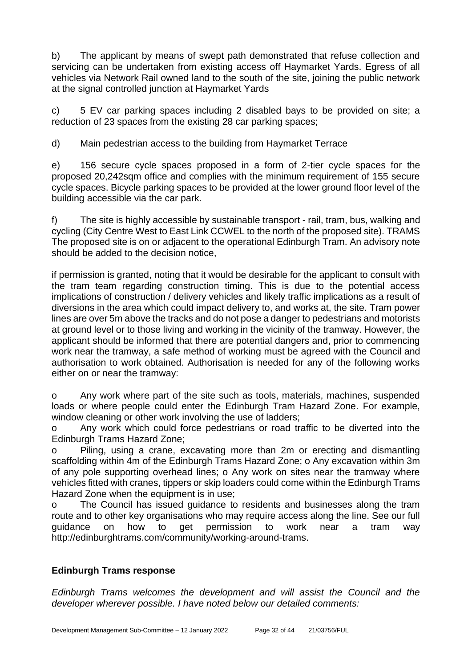b) The applicant by means of swept path demonstrated that refuse collection and servicing can be undertaken from existing access off Haymarket Yards. Egress of all vehicles via Network Rail owned land to the south of the site, joining the public network at the signal controlled junction at Haymarket Yards

c) 5 EV car parking spaces including 2 disabled bays to be provided on site; a reduction of 23 spaces from the existing 28 car parking spaces;

d) Main pedestrian access to the building from Haymarket Terrace

e) 156 secure cycle spaces proposed in a form of 2-tier cycle spaces for the proposed 20,242sqm office and complies with the minimum requirement of 155 secure cycle spaces. Bicycle parking spaces to be provided at the lower ground floor level of the building accessible via the car park.

f) The site is highly accessible by sustainable transport - rail, tram, bus, walking and cycling (City Centre West to East Link CCWEL to the north of the proposed site). TRAMS The proposed site is on or adjacent to the operational Edinburgh Tram. An advisory note should be added to the decision notice,

if permission is granted, noting that it would be desirable for the applicant to consult with the tram team regarding construction timing. This is due to the potential access implications of construction / delivery vehicles and likely traffic implications as a result of diversions in the area which could impact delivery to, and works at, the site. Tram power lines are over 5m above the tracks and do not pose a danger to pedestrians and motorists at ground level or to those living and working in the vicinity of the tramway. However, the applicant should be informed that there are potential dangers and, prior to commencing work near the tramway, a safe method of working must be agreed with the Council and authorisation to work obtained. Authorisation is needed for any of the following works either on or near the tramway:

o Any work where part of the site such as tools, materials, machines, suspended loads or where people could enter the Edinburgh Tram Hazard Zone. For example, window cleaning or other work involving the use of ladders;

o Any work which could force pedestrians or road traffic to be diverted into the Edinburgh Trams Hazard Zone;

o Piling, using a crane, excavating more than 2m or erecting and dismantling scaffolding within 4m of the Edinburgh Trams Hazard Zone; o Any excavation within 3m of any pole supporting overhead lines; o Any work on sites near the tramway where vehicles fitted with cranes, tippers or skip loaders could come within the Edinburgh Trams Hazard Zone when the equipment is in use:

o The Council has issued guidance to residents and businesses along the tram route and to other key organisations who may require access along the line. See our full guidance on how to get permission to work near a tram way http://edinburghtrams.com/community/working-around-trams.

## **Edinburgh Trams response**

*Edinburgh Trams welcomes the development and will assist the Council and the developer wherever possible. I have noted below our detailed comments:*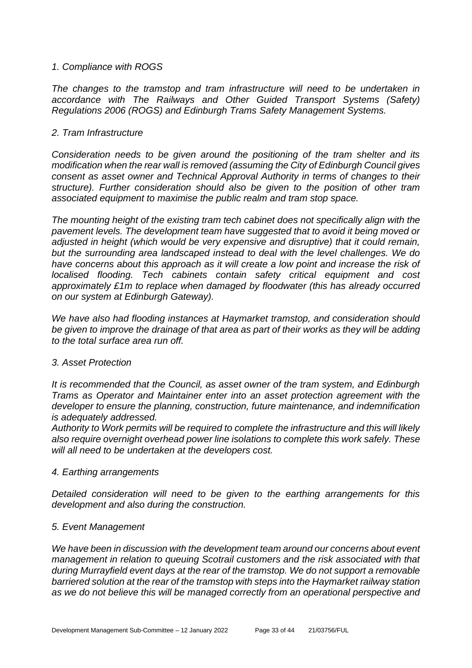#### *1. Compliance with ROGS*

The changes to the tramstop and tram infrastructure will need to be undertaken in *accordance with The Railways and Other Guided Transport Systems (Safety) Regulations 2006 (ROGS) and Edinburgh Trams Safety Management Systems.*

#### *2. Tram Infrastructure*

*Consideration needs to be given around the positioning of the tram shelter and its modification when the rear wall is removed (assuming the City of Edinburgh Council gives consent as asset owner and Technical Approval Authority in terms of changes to their structure). Further consideration should also be given to the position of other tram associated equipment to maximise the public realm and tram stop space.*

*The mounting height of the existing tram tech cabinet does not specifically align with the pavement levels. The development team have suggested that to avoid it being moved or adjusted in height (which would be very expensive and disruptive) that it could remain, but the surrounding area landscaped instead to deal with the level challenges. We do have concerns about this approach as it will create a low point and increase the risk of localised flooding. Tech cabinets contain safety critical equipment and cost approximately £1m to replace when damaged by floodwater (this has already occurred on our system at Edinburgh Gateway).*

*We have also had flooding instances at Haymarket tramstop, and consideration should be given to improve the drainage of that area as part of their works as they will be adding to the total surface area run off.*

#### *3. Asset Protection*

*It is recommended that the Council, as asset owner of the tram system, and Edinburgh Trams as Operator and Maintainer enter into an asset protection agreement with the developer to ensure the planning, construction, future maintenance, and indemnification is adequately addressed.*

*Authority to Work permits will be required to complete the infrastructure and this will likely also require overnight overhead power line isolations to complete this work safely. These will all need to be undertaken at the developers cost.*

#### *4. Earthing arrangements*

*Detailed consideration will need to be given to the earthing arrangements for this development and also during the construction.*

#### *5. Event Management*

*We have been in discussion with the development team around our concerns about event management in relation to queuing Scotrail customers and the risk associated with that during Murrayfield event days at the rear of the tramstop. We do not support a removable barriered solution at the rear of the tramstop with steps into the Haymarket railway station as we do not believe this will be managed correctly from an operational perspective and*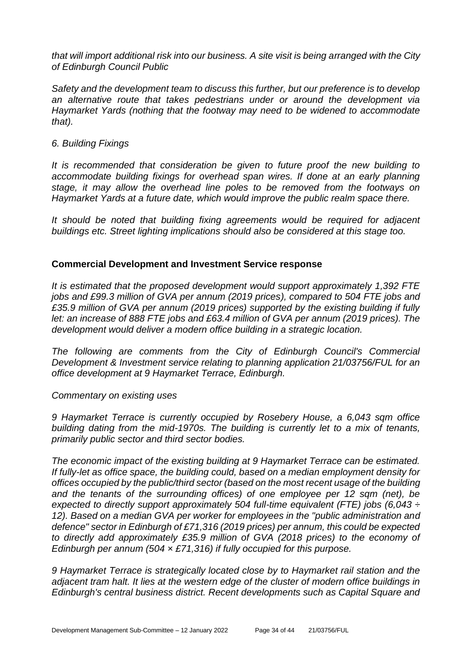*that will import additional risk into our business. A site visit is being arranged with the City of Edinburgh Council Public*

*Safety and the development team to discuss this further, but our preference is to develop an alternative route that takes pedestrians under or around the development via Haymarket Yards (nothing that the footway may need to be widened to accommodate that).*

#### *6. Building Fixings*

*It is recommended that consideration be given to future proof the new building to accommodate building fixings for overhead span wires. If done at an early planning stage, it may allow the overhead line poles to be removed from the footways on Haymarket Yards at a future date, which would improve the public realm space there.*

*It should be noted that building fixing agreements would be required for adjacent buildings etc. Street lighting implications should also be considered at this stage too.*

#### **Commercial Development and Investment Service response**

*It is estimated that the proposed development would support approximately 1,392 FTE jobs and £99.3 million of GVA per annum (2019 prices), compared to 504 FTE jobs and £35.9 million of GVA per annum (2019 prices) supported by the existing building if fully let: an increase of 888 FTE jobs and £63.4 million of GVA per annum (2019 prices). The development would deliver a modern office building in a strategic location.*

*The following are comments from the City of Edinburgh Council's Commercial Development & Investment service relating to planning application 21/03756/FUL for an office development at 9 Haymarket Terrace, Edinburgh.*

#### *Commentary on existing uses*

*9 Haymarket Terrace is currently occupied by Rosebery House, a 6,043 sqm office building dating from the mid-1970s. The building is currently let to a mix of tenants, primarily public sector and third sector bodies.*

*The economic impact of the existing building at 9 Haymarket Terrace can be estimated. If fully-let as office space, the building could, based on a median employment density for offices occupied by the public/third sector (based on the most recent usage of the building and the tenants of the surrounding offices) of one employee per 12 sqm (net), be expected to directly support approximately 504 full-time equivalent (FTE) jobs (6,043 ÷ 12). Based on a median GVA per worker for employees in the "public administration and defence" sector in Edinburgh of £71,316 (2019 prices) per annum, this could be expected to directly add approximately £35.9 million of GVA (2018 prices) to the economy of Edinburgh per annum (504 × £71,316) if fully occupied for this purpose.*

*9 Haymarket Terrace is strategically located close by to Haymarket rail station and the adjacent tram halt. It lies at the western edge of the cluster of modern office buildings in Edinburgh's central business district. Recent developments such as Capital Square and*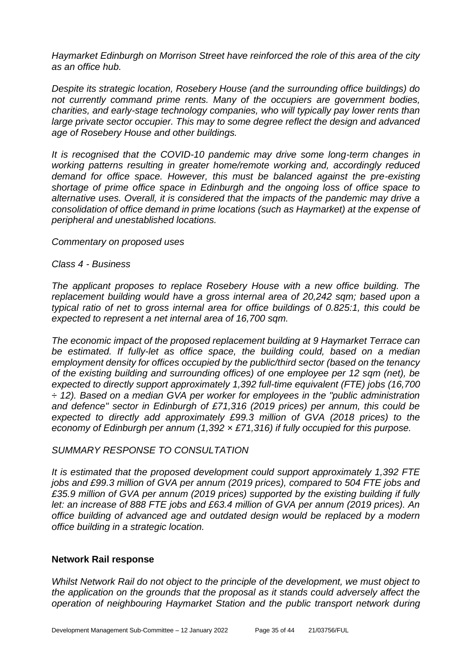*Haymarket Edinburgh on Morrison Street have reinforced the role of this area of the city as an office hub.*

*Despite its strategic location, Rosebery House (and the surrounding office buildings) do not currently command prime rents. Many of the occupiers are government bodies, charities, and early-stage technology companies, who will typically pay lower rents than large private sector occupier. This may to some degree reflect the design and advanced age of Rosebery House and other buildings.* 

*It is recognised that the COVID-10 pandemic may drive some long-term changes in working patterns resulting in greater home/remote working and, accordingly reduced demand for office space. However, this must be balanced against the pre-existing shortage of prime office space in Edinburgh and the ongoing loss of office space to alternative uses. Overall, it is considered that the impacts of the pandemic may drive a consolidation of office demand in prime locations (such as Haymarket) at the expense of peripheral and unestablished locations.* 

*Commentary on proposed uses*

*Class 4 - Business*

*The applicant proposes to replace Rosebery House with a new office building. The replacement building would have a gross internal area of 20,242 sqm; based upon a typical ratio of net to gross internal area for office buildings of 0.825:1, this could be expected to represent a net internal area of 16,700 sqm.*

*The economic impact of the proposed replacement building at 9 Haymarket Terrace can be estimated. If fully-let as office space, the building could, based on a median employment density for offices occupied by the public/third sector (based on the tenancy of the existing building and surrounding offices) of one employee per 12 sqm (net), be expected to directly support approximately 1,392 full-time equivalent (FTE) jobs (16,700 ÷ 12). Based on a median GVA per worker for employees in the "public administration and defence" sector in Edinburgh of £71,316 (2019 prices) per annum, this could be expected to directly add approximately £99.3 million of GVA (2018 prices) to the economy of Edinburgh per annum (1,392 × £71,316) if fully occupied for this purpose.*

#### *SUMMARY RESPONSE TO CONSULTATION*

*It is estimated that the proposed development could support approximately 1,392 FTE jobs and £99.3 million of GVA per annum (2019 prices), compared to 504 FTE jobs and £35.9 million of GVA per annum (2019 prices) supported by the existing building if fully let: an increase of 888 FTE jobs and £63.4 million of GVA per annum (2019 prices). An office building of advanced age and outdated design would be replaced by a modern office building in a strategic location.*

#### **Network Rail response**

*Whilst Network Rail do not object to the principle of the development, we must object to the application on the grounds that the proposal as it stands could adversely affect the operation of neighbouring Haymarket Station and the public transport network during*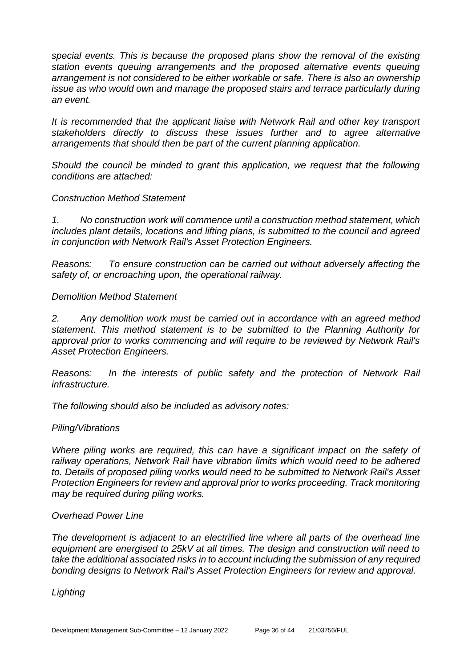*special events. This is because the proposed plans show the removal of the existing station events queuing arrangements and the proposed alternative events queuing arrangement is not considered to be either workable or safe. There is also an ownership issue as who would own and manage the proposed stairs and terrace particularly during an event.* 

*It is recommended that the applicant liaise with Network Rail and other key transport stakeholders directly to discuss these issues further and to agree alternative arrangements that should then be part of the current planning application.*

*Should the council be minded to grant this application, we request that the following conditions are attached:*

#### *Construction Method Statement*

*1. No construction work will commence until a construction method statement, which includes plant details, locations and lifting plans, is submitted to the council and agreed in conjunction with Network Rail's Asset Protection Engineers.* 

*Reasons: To ensure construction can be carried out without adversely affecting the safety of, or encroaching upon, the operational railway.* 

#### *Demolition Method Statement*

*2. Any demolition work must be carried out in accordance with an agreed method statement. This method statement is to be submitted to the Planning Authority for approval prior to works commencing and will require to be reviewed by Network Rail's Asset Protection Engineers.* 

*Reasons: In the interests of public safety and the protection of Network Rail infrastructure.*

*The following should also be included as advisory notes:*

#### *Piling/Vibrations*

*Where piling works are required, this can have a significant impact on the safety of railway operations, Network Rail have vibration limits which would need to be adhered to. Details of proposed piling works would need to be submitted to Network Rail's Asset Protection Engineers for review and approval prior to works proceeding. Track monitoring may be required during piling works.*

#### *Overhead Power Line*

*The development is adjacent to an electrified line where all parts of the overhead line equipment are energised to 25kV at all times. The design and construction will need to take the additional associated risks in to account including the submission of any required bonding designs to Network Rail's Asset Protection Engineers for review and approval.*

*Lighting*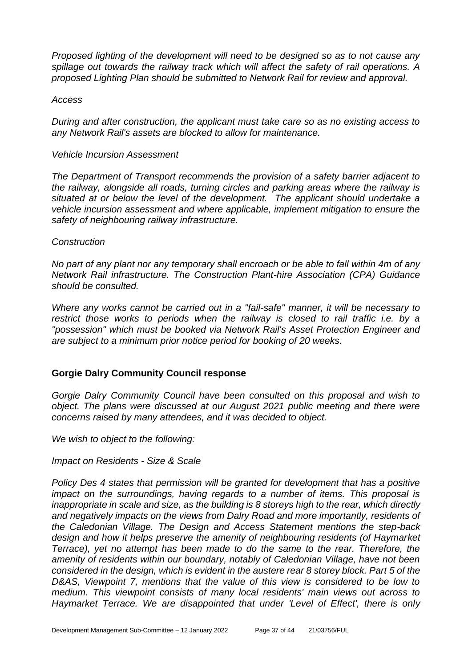*Proposed lighting of the development will need to be designed so as to not cause any spillage out towards the railway track which will affect the safety of rail operations. A proposed Lighting Plan should be submitted to Network Rail for review and approval.*

#### *Access*

*During and after construction, the applicant must take care so as no existing access to any Network Rail's assets are blocked to allow for maintenance.* 

#### *Vehicle Incursion Assessment*

*The Department of Transport recommends the provision of a safety barrier adjacent to the railway, alongside all roads, turning circles and parking areas where the railway is situated at or below the level of the development. The applicant should undertake a vehicle incursion assessment and where applicable, implement mitigation to ensure the safety of neighbouring railway infrastructure.*

#### *Construction*

*No part of any plant nor any temporary shall encroach or be able to fall within 4m of any Network Rail infrastructure. The Construction Plant-hire Association (CPA) Guidance should be consulted.* 

*Where any works cannot be carried out in a "fail-safe" manner, it will be necessary to*  restrict those works to periods when the railway is closed to rail traffic *i.e.* by a *"possession" which must be booked via Network Rail's Asset Protection Engineer and are subject to a minimum prior notice period for booking of 20 weeks.*

#### **Gorgie Dalry Community Council response**

*Gorgie Dalry Community Council have been consulted on this proposal and wish to object. The plans were discussed at our August 2021 public meeting and there were concerns raised by many attendees, and it was decided to object.* 

*We wish to object to the following:*

*Impact on Residents - Size & Scale*

*Policy Des 4 states that permission will be granted for development that has a positive impact on the surroundings, having regards to a number of items. This proposal is inappropriate in scale and size, as the building is 8 storeys high to the rear, which directly and negatively impacts on the views from Dalry Road and more importantly, residents of the Caledonian Village. The Design and Access Statement mentions the step-back design and how it helps preserve the amenity of neighbouring residents (of Haymarket Terrace), yet no attempt has been made to do the same to the rear. Therefore, the amenity of residents within our boundary, notably of Caledonian Village, have not been considered in the design, which is evident in the austere rear 8 storey block. Part 5 of the*  D&AS, Viewpoint 7, mentions that the value of this view is considered to be low to *medium. This viewpoint consists of many local residents' main views out across to Haymarket Terrace. We are disappointed that under 'Level of Effect', there is only*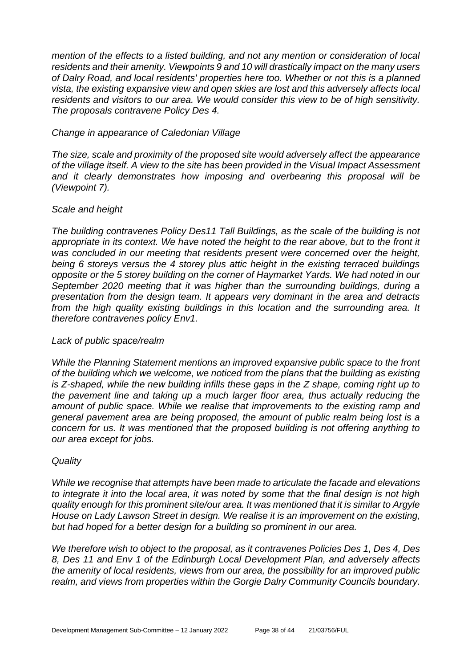*mention of the effects to a listed building, and not any mention or consideration of local residents and their amenity. Viewpoints 9 and 10 will drastically impact on the many users of Dalry Road, and local residents' properties here too. Whether or not this is a planned vista, the existing expansive view and open skies are lost and this adversely affects local residents and visitors to our area. We would consider this view to be of high sensitivity. The proposals contravene Policy Des 4.*

#### *Change in appearance of Caledonian Village*

*The size, scale and proximity of the proposed site would adversely affect the appearance of the village itself. A view to the site has been provided in the Visual Impact Assessment and it clearly demonstrates how imposing and overbearing this proposal will be (Viewpoint 7).*

#### *Scale and height*

*The building contravenes Policy Des11 Tall Buildings, as the scale of the building is not appropriate in its context. We have noted the height to the rear above, but to the front it was concluded in our meeting that residents present were concerned over the height, being 6 storeys versus the 4 storey plus attic height in the existing terraced buildings opposite or the 5 storey building on the corner of Haymarket Yards. We had noted in our September 2020 meeting that it was higher than the surrounding buildings, during a presentation from the design team. It appears very dominant in the area and detracts from the high quality existing buildings in this location and the surrounding area. It therefore contravenes policy Env1.*

#### *Lack of public space/realm*

*While the Planning Statement mentions an improved expansive public space to the front of the building which we welcome, we noticed from the plans that the building as existing is Z-shaped, while the new building infills these gaps in the Z shape, coming right up to the pavement line and taking up a much larger floor area, thus actually reducing the amount of public space. While we realise that improvements to the existing ramp and general pavement area are being proposed, the amount of public realm being lost is a concern for us. It was mentioned that the proposed building is not offering anything to our area except for jobs.* 

#### *Quality*

*While we recognise that attempts have been made to articulate the facade and elevations to integrate it into the local area, it was noted by some that the final design is not high quality enough for this prominent site/our area. It was mentioned that it is similar to Argyle House on Lady Lawson Street in design. We realise it is an improvement on the existing, but had hoped for a better design for a building so prominent in our area.* 

*We therefore wish to object to the proposal, as it contravenes Policies Des 1, Des 4, Des 8, Des 11 and Env 1 of the Edinburgh Local Development Plan, and adversely affects the amenity of local residents, views from our area, the possibility for an improved public realm, and views from properties within the Gorgie Dalry Community Councils boundary.*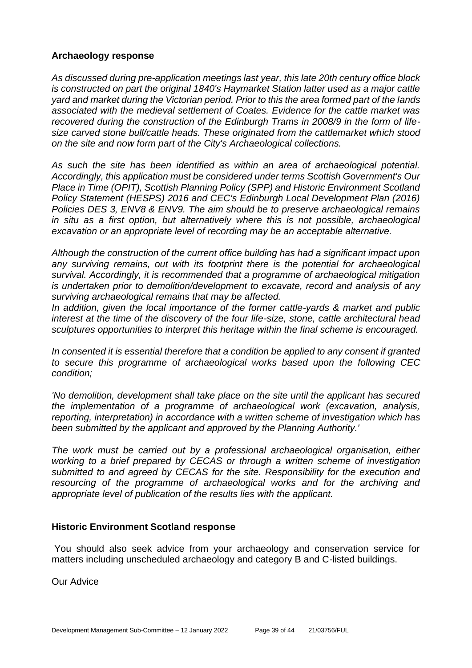#### **Archaeology response**

*As discussed during pre-application meetings last year, this late 20th century office block is constructed on part the original 1840's Haymarket Station latter used as a major cattle yard and market during the Victorian period. Prior to this the area formed part of the lands associated with the medieval settlement of Coates. Evidence for the cattle market was recovered during the construction of the Edinburgh Trams in 2008/9 in the form of lifesize carved stone bull/cattle heads. These originated from the cattlemarket which stood on the site and now form part of the City's Archaeological collections.*

*As such the site has been identified as within an area of archaeological potential. Accordingly, this application must be considered under terms Scottish Government's Our Place in Time (OPIT), Scottish Planning Policy (SPP) and Historic Environment Scotland Policy Statement (HESPS) 2016 and CEC's Edinburgh Local Development Plan (2016) Policies DES 3, ENV8 & ENV9. The aim should be to preserve archaeological remains in situ as a first option, but alternatively where this is not possible, archaeological excavation or an appropriate level of recording may be an acceptable alternative.*

*Although the construction of the current office building has had a significant impact upon any surviving remains, out with its footprint there is the potential for archaeological survival. Accordingly, it is recommended that a programme of archaeological mitigation is undertaken prior to demolition/development to excavate, record and analysis of any surviving archaeological remains that may be affected.*

*In addition, given the local importance of the former cattle-yards & market and public interest at the time of the discovery of the four life-size, stone, cattle architectural head sculptures opportunities to interpret this heritage within the final scheme is encouraged.*

*In consented it is essential therefore that a condition be applied to any consent if granted to secure this programme of archaeological works based upon the following CEC condition;*

*'No demolition, development shall take place on the site until the applicant has secured the implementation of a programme of archaeological work (excavation, analysis, reporting, interpretation) in accordance with a written scheme of investigation which has been submitted by the applicant and approved by the Planning Authority.'* 

*The work must be carried out by a professional archaeological organisation, either working to a brief prepared by CECAS or through a written scheme of investigation submitted to and agreed by CECAS for the site. Responsibility for the execution and resourcing of the programme of archaeological works and for the archiving and appropriate level of publication of the results lies with the applicant.*

#### **Historic Environment Scotland response**

You should also seek advice from your archaeology and conservation service for matters including unscheduled archaeology and category B and C-listed buildings.

Our Advice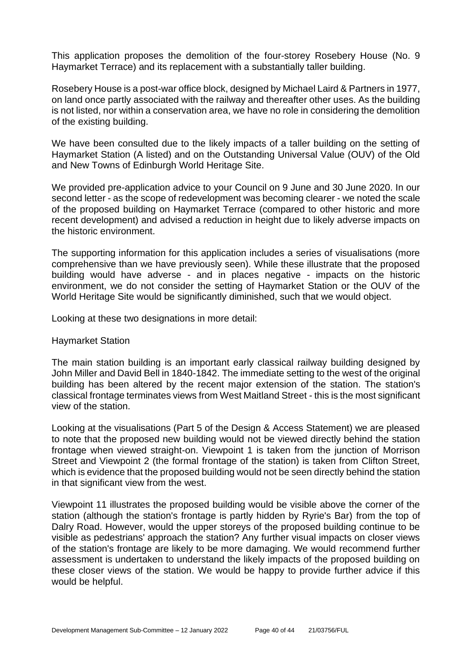This application proposes the demolition of the four-storey Rosebery House (No. 9 Haymarket Terrace) and its replacement with a substantially taller building.

Rosebery House is a post-war office block, designed by Michael Laird & Partners in 1977, on land once partly associated with the railway and thereafter other uses. As the building is not listed, nor within a conservation area, we have no role in considering the demolition of the existing building.

We have been consulted due to the likely impacts of a taller building on the setting of Haymarket Station (A listed) and on the Outstanding Universal Value (OUV) of the Old and New Towns of Edinburgh World Heritage Site.

We provided pre-application advice to your Council on 9 June and 30 June 2020. In our second letter - as the scope of redevelopment was becoming clearer - we noted the scale of the proposed building on Haymarket Terrace (compared to other historic and more recent development) and advised a reduction in height due to likely adverse impacts on the historic environment.

The supporting information for this application includes a series of visualisations (more comprehensive than we have previously seen). While these illustrate that the proposed building would have adverse - and in places negative - impacts on the historic environment, we do not consider the setting of Haymarket Station or the OUV of the World Heritage Site would be significantly diminished, such that we would object.

Looking at these two designations in more detail:

#### Haymarket Station

The main station building is an important early classical railway building designed by John Miller and David Bell in 1840-1842. The immediate setting to the west of the original building has been altered by the recent major extension of the station. The station's classical frontage terminates views from West Maitland Street - this is the most significant view of the station.

Looking at the visualisations (Part 5 of the Design & Access Statement) we are pleased to note that the proposed new building would not be viewed directly behind the station frontage when viewed straight-on. Viewpoint 1 is taken from the junction of Morrison Street and Viewpoint 2 (the formal frontage of the station) is taken from Clifton Street, which is evidence that the proposed building would not be seen directly behind the station in that significant view from the west.

Viewpoint 11 illustrates the proposed building would be visible above the corner of the station (although the station's frontage is partly hidden by Ryrie's Bar) from the top of Dalry Road. However, would the upper storeys of the proposed building continue to be visible as pedestrians' approach the station? Any further visual impacts on closer views of the station's frontage are likely to be more damaging. We would recommend further assessment is undertaken to understand the likely impacts of the proposed building on these closer views of the station. We would be happy to provide further advice if this would be helpful.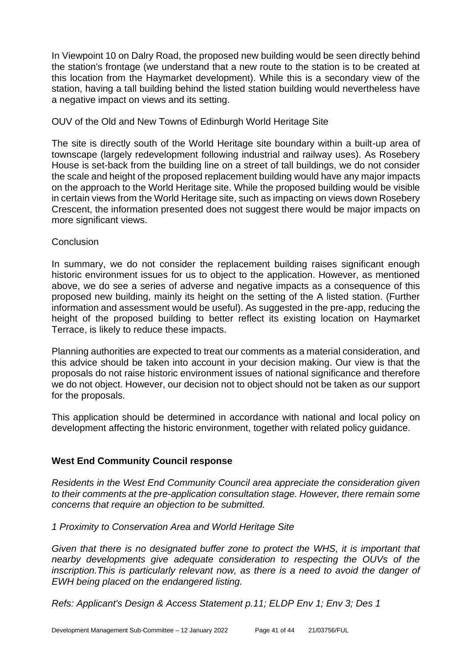In Viewpoint 10 on Dalry Road, the proposed new building would be seen directly behind the station's frontage (we understand that a new route to the station is to be created at this location from the Haymarket development). While this is a secondary view of the station, having a tall building behind the listed station building would nevertheless have a negative impact on views and its setting.

#### OUV of the Old and New Towns of Edinburgh World Heritage Site

The site is directly south of the World Heritage site boundary within a built-up area of townscape (largely redevelopment following industrial and railway uses). As Rosebery House is set-back from the building line on a street of tall buildings, we do not consider the scale and height of the proposed replacement building would have any major impacts on the approach to the World Heritage site. While the proposed building would be visible in certain views from the World Heritage site, such as impacting on views down Rosebery Crescent, the information presented does not suggest there would be major impacts on more significant views.

#### Conclusion

In summary, we do not consider the replacement building raises significant enough historic environment issues for us to object to the application. However, as mentioned above, we do see a series of adverse and negative impacts as a consequence of this proposed new building, mainly its height on the setting of the A listed station. (Further information and assessment would be useful). As suggested in the pre-app, reducing the height of the proposed building to better reflect its existing location on Haymarket Terrace, is likely to reduce these impacts.

Planning authorities are expected to treat our comments as a material consideration, and this advice should be taken into account in your decision making. Our view is that the proposals do not raise historic environment issues of national significance and therefore we do not object. However, our decision not to object should not be taken as our support for the proposals.

This application should be determined in accordance with national and local policy on development affecting the historic environment, together with related policy guidance.

## **West End Community Council response**

*Residents in the West End Community Council area appreciate the consideration given to their comments at the pre-application consultation stage. However, there remain some concerns that require an objection to be submitted.*

*1 Proximity to Conservation Area and World Heritage Site*

*Given that there is no designated buffer zone to protect the WHS, it is important that nearby developments give adequate consideration to respecting the OUVs of the inscription.This is particularly relevant now, as there is a need to avoid the danger of EWH being placed on the endangered listing.*

*Refs: Applicant's Design & Access Statement p.11; ELDP Env 1; Env 3; Des 1*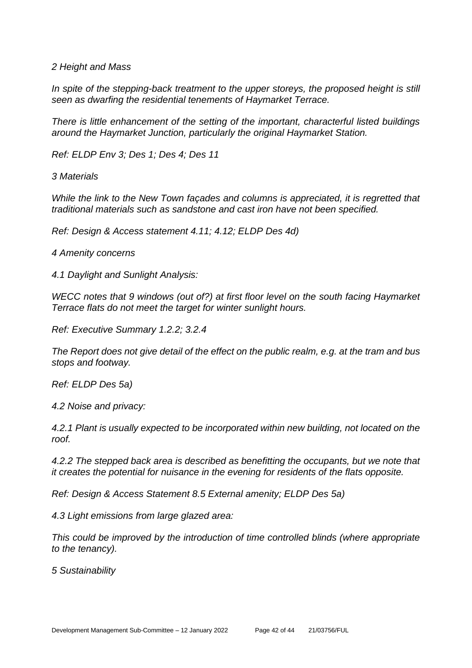*2 Height and Mass*

In spite of the stepping-back treatment to the upper storeys, the proposed height is still *seen as dwarfing the residential tenements of Haymarket Terrace.*

*There is little enhancement of the setting of the important, characterful listed buildings around the Haymarket Junction, particularly the original Haymarket Station.* 

*Ref: ELDP Env 3; Des 1; Des 4; Des 11*

*3 Materials*

*While the link to the New Town façades and columns is appreciated, it is regretted that traditional materials such as sandstone and cast iron have not been specified.*

*Ref: Design & Access statement 4.11; 4.12; ELDP Des 4d)*

*4 Amenity concerns*

*4.1 Daylight and Sunlight Analysis:*

*WECC notes that 9 windows (out of?) at first floor level on the south facing Haymarket Terrace flats do not meet the target for winter sunlight hours.*

*Ref: Executive Summary 1.2.2; 3.2.4*

*The Report does not give detail of the effect on the public realm, e.g. at the tram and bus stops and footway.*

*Ref: ELDP Des 5a)*

*4.2 Noise and privacy:*

*4.2.1 Plant is usually expected to be incorporated within new building, not located on the roof.* 

*4.2.2 The stepped back area is described as benefitting the occupants, but we note that it creates the potential for nuisance in the evening for residents of the flats opposite.*

*Ref: Design & Access Statement 8.5 External amenity; ELDP Des 5a)*

*4.3 Light emissions from large glazed area:*

*This could be improved by the introduction of time controlled blinds (where appropriate to the tenancy).*

*5 Sustainability*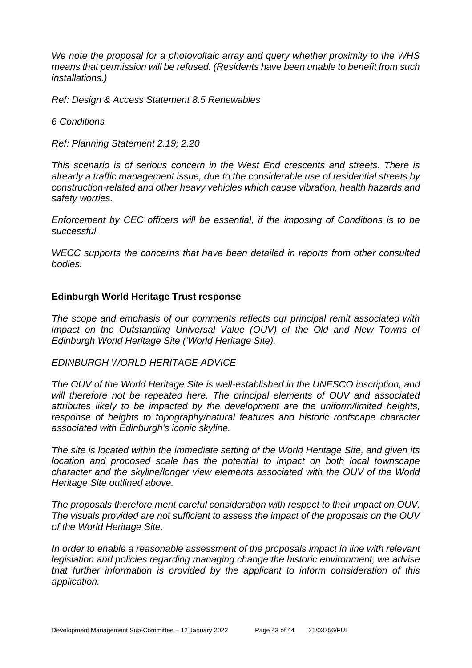*We note the proposal for a photovoltaic array and query whether proximity to the WHS means that permission will be refused. (Residents have been unable to benefit from such installations.)*

*Ref: Design & Access Statement 8.5 Renewables*

*6 Conditions*

*Ref: Planning Statement 2.19; 2.20*

*This scenario is of serious concern in the West End crescents and streets. There is already a traffic management issue, due to the considerable use of residential streets by construction-related and other heavy vehicles which cause vibration, health hazards and safety worries.*

*Enforcement by CEC officers will be essential, if the imposing of Conditions is to be successful.*

*WECC supports the concerns that have been detailed in reports from other consulted bodies.*

#### **Edinburgh World Heritage Trust response**

*The scope and emphasis of our comments reflects our principal remit associated with impact on the Outstanding Universal Value (OUV) of the Old and New Towns of Edinburgh World Heritage Site ('World Heritage Site).* 

#### *EDINBURGH WORLD HERITAGE ADVICE*

*The OUV of the World Heritage Site is well-established in the UNESCO inscription, and will therefore not be repeated here. The principal elements of OUV and associated attributes likely to be impacted by the development are the uniform/limited heights, response of heights to topography/natural features and historic roofscape character associated with Edinburgh's iconic skyline.* 

*The site is located within the immediate setting of the World Heritage Site, and given its location and proposed scale has the potential to impact on both local townscape character and the skyline/longer view elements associated with the OUV of the World Heritage Site outlined above.* 

*The proposals therefore merit careful consideration with respect to their impact on OUV. The visuals provided are not sufficient to assess the impact of the proposals on the OUV of the World Heritage Site.* 

*In order to enable a reasonable assessment of the proposals impact in line with relevant legislation and policies regarding managing change the historic environment, we advise that further information is provided by the applicant to inform consideration of this application.*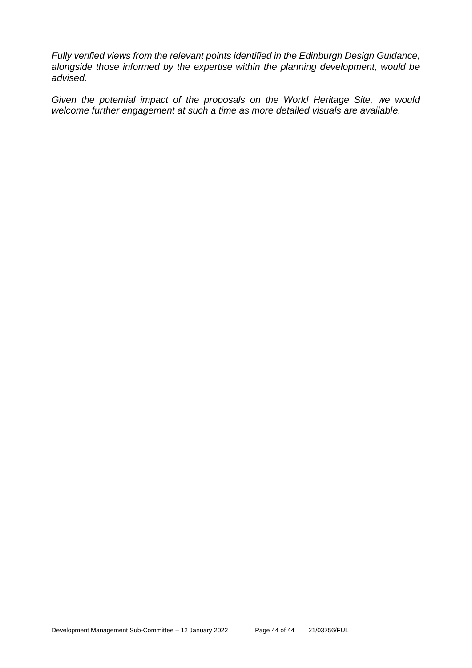*Fully verified views from the relevant points identified in the Edinburgh Design Guidance, alongside those informed by the expertise within the planning development, would be advised.* 

*Given the potential impact of the proposals on the World Heritage Site, we would welcome further engagement at such a time as more detailed visuals are available.*